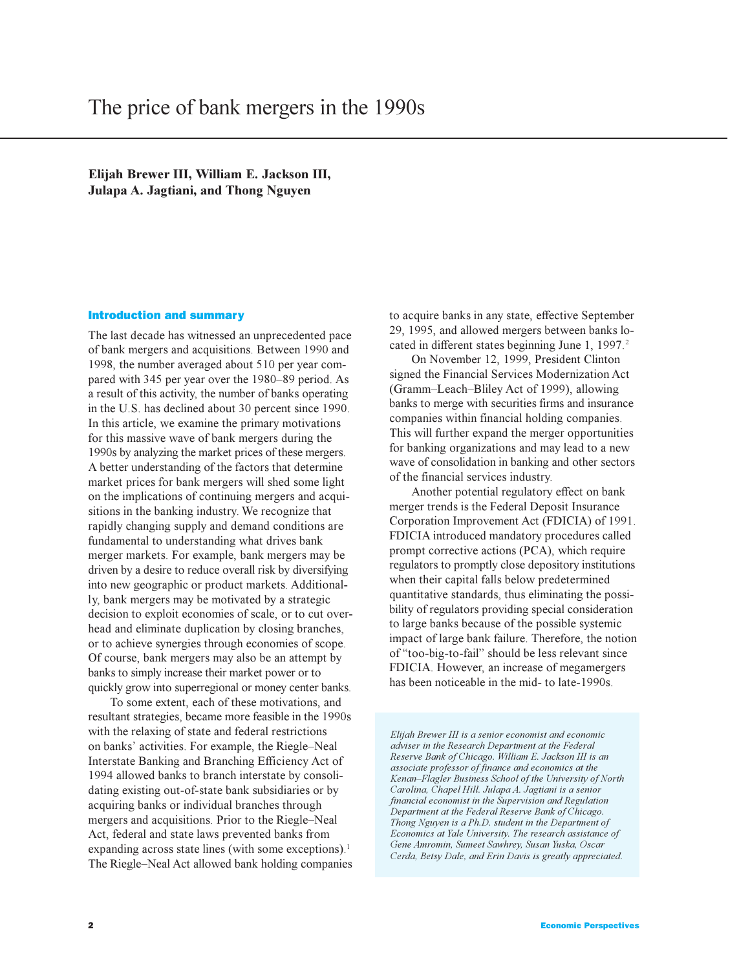**Elijah Brewer III, William E. Jackson III, Julapa A. Jagtiani, and Thong Nguyen**

### Introduction and summary

The last decade has witnessed an unprecedented pace of bank mergers and acquisitions. Between 1990 and 1998, the number averaged about 510 per year compared with 345 per year over the 1980–89 period. As a result of this activity, the number of banks operating in the U.S. has declined about 30 percent since 1990. In this article, we examine the primary motivations for this massive wave of bank mergers during the 1990s by analyzing the market prices of these mergers. A better understanding of the factors that determine market prices for bank mergers will shed some light on the implications of continuing mergers and acquisitions in the banking industry. We recognize that rapidly changing supply and demand conditions are fundamental to understanding what drives bank merger markets. For example, bank mergers may be driven by a desire to reduce overall risk by diversifying into new geographic or product markets. Additionally, bank mergers may be motivated by a strategic decision to exploit economies of scale, or to cut overhead and eliminate duplication by closing branches, or to achieve synergies through economies of scope. Of course, bank mergers may also be an attempt by banks to simply increase their market power or to quickly grow into superregional or money center banks.

To some extent, each of these motivations, and resultant strategies, became more feasible in the 1990s with the relaxing of state and federal restrictions on banks' activities. For example, the Riegle-Neal Interstate Banking and Branching Efficiency Act of 1994 allowed banks to branch interstate by consolidating existing out-of-state bank subsidiaries or by acquiring banks or individual branches through mergers and acquisitions. Prior to the Riegle–Neal Act, federal and state laws prevented banks from expanding across state lines (with some exceptions).<sup>1</sup> The Riegle–Neal Act allowed bank holding companies

to acquire banks in any state, effective September 29, 1995, and allowed mergers between banks located in different states beginning June 1, 1997.<sup>2</sup>

On November 12, 1999, President Clinton signed the Financial Services Modernization Act (Gramm-Leach-Bliley Act of 1999), allowing banks to merge with securities firms and insurance companies within financial holding companies. This will further expand the merger opportunities for banking organizations and may lead to a new wave of consolidation in banking and other sectors of the financial services industry.

Another potential regulatory effect on bank merger trends is the Federal Deposit Insurance Corporation Improvement Act (FDICIA) of 1991. FDICIA introduced mandatory procedures called prompt corrective actions (PCA), which require regulators to promptly close depository institutions when their capital falls below predetermined quantitative standards, thus eliminating the possibility of regulators providing special consideration to large banks because of the possible systemic impact of large bank failure. Therefore, the notion of "too-big-to-fail" should be less relevant since FDICIA. However, an increase of megamergers has been noticeable in the mid- to late-1990s.

*Elijah Brewer III is a senior economist and economic adviser in the Research Department at the Federal Reserve Bank of Chicago. William E. Jackson III is an associate professor of finance and economics at the KenanFlagler Business School of the University of North Carolina, Chapel Hill. Julapa A. Jagtiani is a senior financial economist in the Supervision and Regulation Department at the Federal Reserve Bank of Chicago. Thong Nguyen is a Ph.D. student in the Department of Economics at Yale University. The research assistance of Gene Amromin, Sumeet Sawhrey, Susan Yuska, Oscar Cerda, Betsy Dale, and Erin Davis is greatly appreciated.*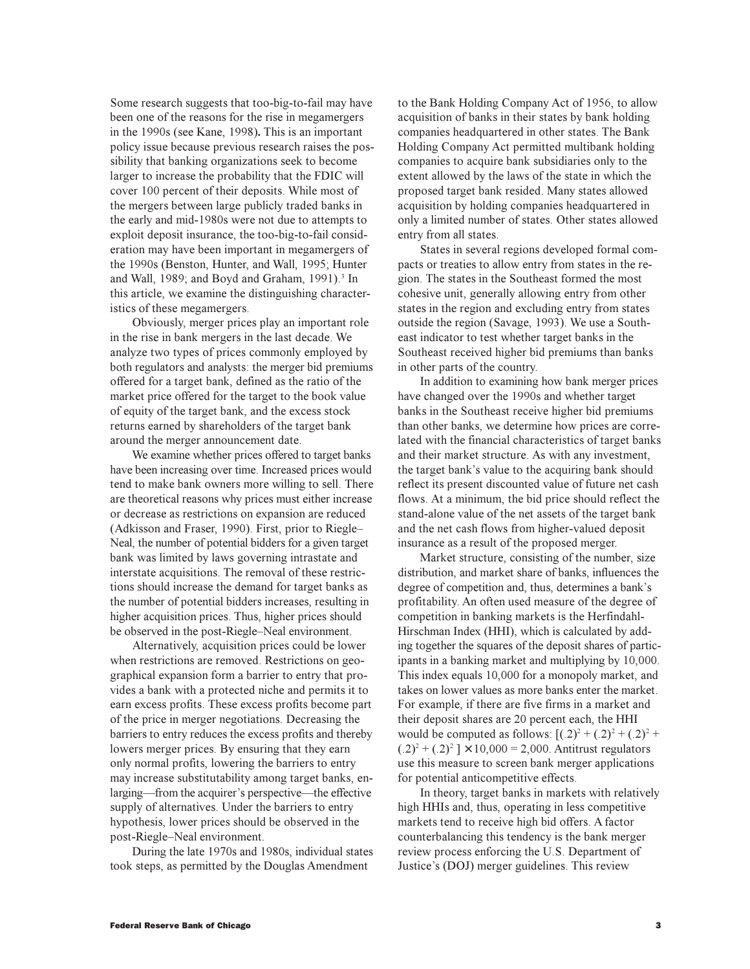Some research suggests that too-big-to-fail may have been one of the reasons for the rise in megamergers in the 1990s (see Kane, 1998)**.** This is an important policy issue because previous research raises the possibility that banking organizations seek to become larger to increase the probability that the FDIC will cover 100 percent of their deposits. While most of the mergers between large publicly traded banks in the early and mid-1980s were not due to attempts to exploit deposit insurance, the too-big-to-fail consideration may have been important in megamergers of the 1990s (Benston, Hunter, and Wall, 1995; Hunter and Wall, 1989; and Boyd and Graham, 1991).<sup>3</sup> In this article, we examine the distinguishing characteristics of these megamergers.

Obviously, merger prices play an important role in the rise in bank mergers in the last decade. We analyze two types of prices commonly employed by both regulators and analysts: the merger bid premiums offered for a target bank, defined as the ratio of the market price offered for the target to the book value of equity of the target bank, and the excess stock returns earned by shareholders of the target bank around the merger announcement date.

We examine whether prices offered to target banks have been increasing over time. Increased prices would tend to make bank owners more willing to sell. There are theoretical reasons why prices must either increase or decrease as restrictions on expansion are reduced (Adkisson and Fraser, 1990). First, prior to Riegle Neal, the number of potential bidders for a given target bank was limited by laws governing intrastate and interstate acquisitions. The removal of these restrictions should increase the demand for target banks as the number of potential bidders increases, resulting in higher acquisition prices. Thus, higher prices should be observed in the post-Riegle-Neal environment.

Alternatively, acquisition prices could be lower when restrictions are removed. Restrictions on geographical expansion form a barrier to entry that provides a bank with a protected niche and permits it to earn excess profits. These excess profits become part of the price in merger negotiations. Decreasing the barriers to entry reduces the excess profits and thereby lowers merger prices. By ensuring that they earn only normal profits, lowering the barriers to entry may increase substitutability among target banks, enlarging—from the acquirer's perspective—the effective supply of alternatives. Under the barriers to entry hypothesis, lower prices should be observed in the post-Riegle-Neal environment.

During the late 1970s and 1980s, individual states took steps, as permitted by the Douglas Amendment

to the Bank Holding Company Act of 1956, to allow acquisition of banks in their states by bank holding companies headquartered in other states. The Bank Holding Company Act permitted multibank holding companies to acquire bank subsidiaries only to the extent allowed by the laws of the state in which the proposed target bank resided. Many states allowed acquisition by holding companies headquartered in only a limited number of states. Other states allowed entry from all states.

States in several regions developed formal compacts or treaties to allow entry from states in the region. The states in the Southeast formed the most cohesive unit, generally allowing entry from other states in the region and excluding entry from states outside the region (Savage, 1993). We use a Southeast indicator to test whether target banks in the Southeast received higher bid premiums than banks in other parts of the country.

In addition to examining how bank merger prices have changed over the 1990s and whether target banks in the Southeast receive higher bid premiums than other banks, we determine how prices are correlated with the financial characteristics of target banks and their market structure. As with any investment, the target bank's value to the acquiring bank should reflect its present discounted value of future net cash flows. At a minimum, the bid price should reflect the stand-alone value of the net assets of the target bank and the net cash flows from higher-valued deposit insurance as a result of the proposed merger.

Market structure, consisting of the number, size distribution, and market share of banks, influences the degree of competition and, thus, determines a bank's profitability. An often used measure of the degree of competition in banking markets is the Herfindahl-Hirschman Index (HHI), which is calculated by adding together the squares of the deposit shares of participants in a banking market and multiplying by 10,000. This index equals 10,000 for a monopoly market, and takes on lower values as more banks enter the market. For example, if there are five firms in a market and their deposit shares are 20 percent each, the HHI would be computed as follows:  $[(.2)^{2} + (.2)^{2} + (.2)^{2} +$  $(.2)^{2} + (.2)^{2}$  | × 10,000 = 2,000. Antitrust regulators use this measure to screen bank merger applications for potential anticompetitive effects.

In theory, target banks in markets with relatively high HHIs and, thus, operating in less competitive markets tend to receive high bid offers. A factor counterbalancing this tendency is the bank merger review process enforcing the U.S. Department of Justice's (DOJ) merger guidelines. This review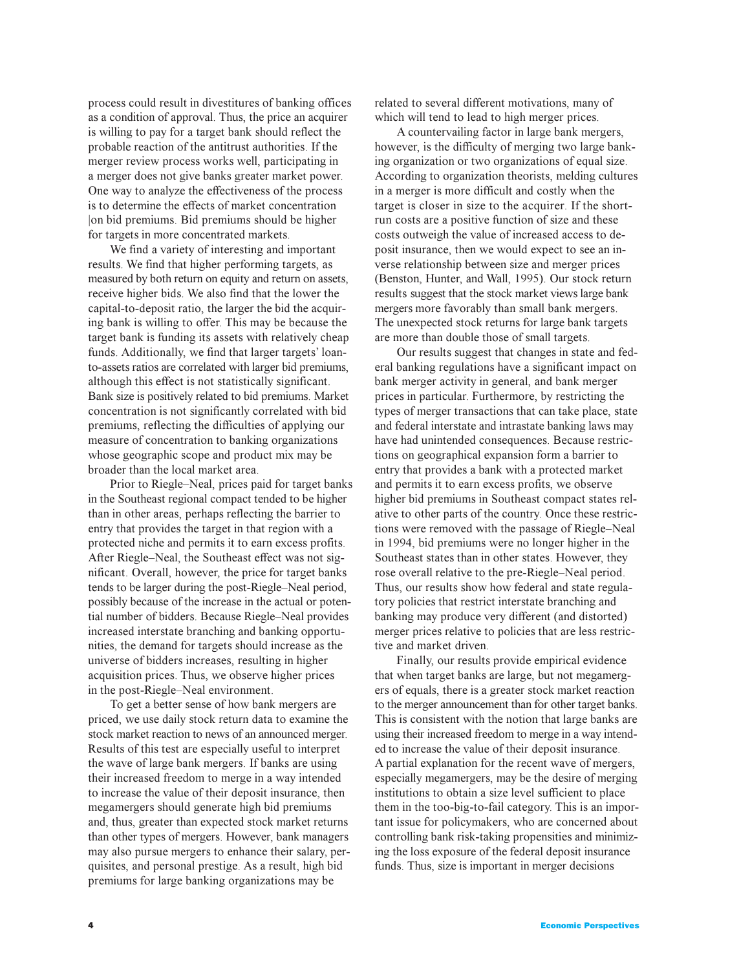process could result in divestitures of banking offices as a condition of approval. Thus, the price an acquirer is willing to pay for a target bank should reflect the probable reaction of the antitrust authorities. If the merger review process works well, participating in a merger does not give banks greater market power. One way to analyze the effectiveness of the process is to determine the effects of market concentration |on bid premiums. Bid premiums should be higher for targets in more concentrated markets.

We find a variety of interesting and important results. We find that higher performing targets, as measured by both return on equity and return on assets, receive higher bids. We also find that the lower the capital-to-deposit ratio, the larger the bid the acquiring bank is willing to offer. This may be because the target bank is funding its assets with relatively cheap funds. Additionally, we find that larger targets' loanto-assets ratios are correlated with larger bid premiums, although this effect is not statistically significant. Bank size is positively related to bid premiums. Market concentration is not significantly correlated with bid premiums, reflecting the difficulties of applying our measure of concentration to banking organizations whose geographic scope and product mix may be broader than the local market area.

Prior to Riegle–Neal, prices paid for target banks in the Southeast regional compact tended to be higher than in other areas, perhaps reflecting the barrier to entry that provides the target in that region with a protected niche and permits it to earn excess profits. After Riegle-Neal, the Southeast effect was not significant. Overall, however, the price for target banks tends to be larger during the post-Riegle-Neal period, possibly because of the increase in the actual or potential number of bidders. Because Riegle-Neal provides increased interstate branching and banking opportunities, the demand for targets should increase as the universe of bidders increases, resulting in higher acquisition prices. Thus, we observe higher prices in the post-Riegle-Neal environment.

To get a better sense of how bank mergers are priced, we use daily stock return data to examine the stock market reaction to news of an announced merger. Results of this test are especially useful to interpret the wave of large bank mergers. If banks are using their increased freedom to merge in a way intended to increase the value of their deposit insurance, then megamergers should generate high bid premiums and, thus, greater than expected stock market returns than other types of mergers. However, bank managers may also pursue mergers to enhance their salary, perquisites, and personal prestige. As a result, high bid premiums for large banking organizations may be

related to several different motivations, many of which will tend to lead to high merger prices.

A countervailing factor in large bank mergers, however, is the difficulty of merging two large banking organization or two organizations of equal size. According to organization theorists, melding cultures in a merger is more difficult and costly when the target is closer in size to the acquirer. If the shortrun costs are a positive function of size and these costs outweigh the value of increased access to deposit insurance, then we would expect to see an inverse relationship between size and merger prices (Benston, Hunter, and Wall, 1995). Our stock return results suggest that the stock market views large bank mergers more favorably than small bank mergers. The unexpected stock returns for large bank targets are more than double those of small targets.

Our results suggest that changes in state and federal banking regulations have a significant impact on bank merger activity in general, and bank merger prices in particular. Furthermore, by restricting the types of merger transactions that can take place, state and federal interstate and intrastate banking laws may have had unintended consequences. Because restrictions on geographical expansion form a barrier to entry that provides a bank with a protected market and permits it to earn excess profits, we observe higher bid premiums in Southeast compact states relative to other parts of the country. Once these restrictions were removed with the passage of Riegle-Neal in 1994, bid premiums were no longer higher in the Southeast states than in other states. However, they rose overall relative to the pre-Riegle-Neal period. Thus, our results show how federal and state regulatory policies that restrict interstate branching and banking may produce very different (and distorted) merger prices relative to policies that are less restrictive and market driven.

Finally, our results provide empirical evidence that when target banks are large, but not megamergers of equals, there is a greater stock market reaction to the merger announcement than for other target banks. This is consistent with the notion that large banks are using their increased freedom to merge in a way intended to increase the value of their deposit insurance. A partial explanation for the recent wave of mergers, especially megamergers, may be the desire of merging institutions to obtain a size level sufficient to place them in the too-big-to-fail category. This is an important issue for policymakers, who are concerned about controlling bank risk-taking propensities and minimizing the loss exposure of the federal deposit insurance funds. Thus, size is important in merger decisions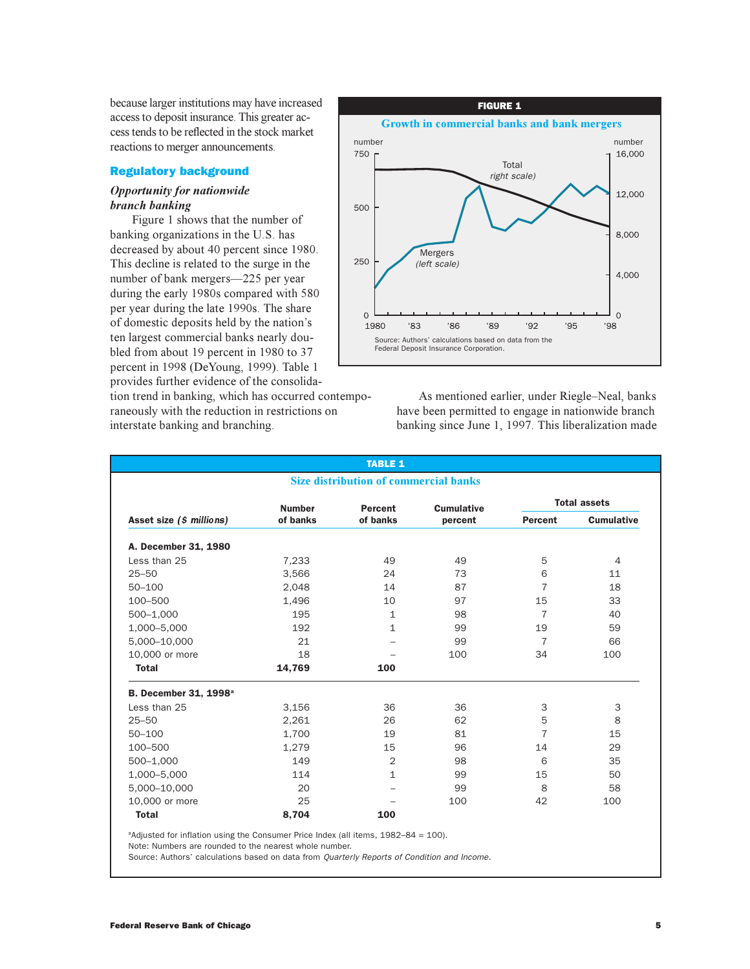because larger institutions may have increased access to deposit insurance. This greater access tends to be reflected in the stock market reactions to merger announcements.

## Regulatory background

## *Opportunity for nationwide branch banking*

Figure 1 shows that the number of banking organizations in the U.S. has decreased by about 40 percent since 1980. This decline is related to the surge in the number of bank mergers-225 per year during the early 1980s compared with 580 per year during the late 1990s. The share of domestic deposits held by the nation's ten largest commercial banks nearly doubled from about 19 percent in 1980 to 37 percent in 1998 (DeYoung, 1999). Table 1 provides further evidence of the consolida-

tion trend in banking, which has occurred contemporaneously with the reduction in restrictions on interstate banking and branching.



As mentioned earlier, under Riegle-Neal, banks have been permitted to engage in nationwide branch banking since June 1, 1997. This liberalization made

|                                          |               | <b>TABLE 1</b>                               |                   |                     |                   |  |
|------------------------------------------|---------------|----------------------------------------------|-------------------|---------------------|-------------------|--|
|                                          |               | <b>Size distribution of commercial banks</b> |                   |                     |                   |  |
|                                          | <b>Number</b> | Percent                                      | <b>Cumulative</b> | <b>Total assets</b> |                   |  |
| Asset size (\$ millions)                 | of banks      | of banks                                     | percent           | <b>Percent</b>      | <b>Cumulative</b> |  |
| A. December 31, 1980                     |               |                                              |                   |                     |                   |  |
| Less than 25                             | 7,233         | 49                                           | 49                | 5                   | $\overline{4}$    |  |
| $25 - 50$                                | 3,566         | 24                                           | 73                | 6                   | 11                |  |
| $50 - 100$                               | 2,048         | 14                                           | 87                | 7                   | 18                |  |
| 100-500                                  | 1,496         | 10                                           | 97                | 15                  | 33                |  |
| 500-1,000                                | 195           | $\mathbf{1}$                                 | 98                | $\overline{7}$      | 40                |  |
| 1,000-5,000                              | 192           | $\mathbf{1}$                                 | 99                | 19                  | 59                |  |
| 5,000-10,000                             | 21            |                                              | 99                | $\overline{7}$      | 66                |  |
| 10,000 or more                           | 18            |                                              | 100               | 34                  | 100               |  |
| <b>Total</b>                             | 14,769        | 100                                          |                   |                     |                   |  |
| <b>B. December 31, 1998</b> <sup>a</sup> |               |                                              |                   |                     |                   |  |
| Less than 25                             | 3,156         | 36                                           | 36                | 3                   | 3                 |  |
| $25 - 50$                                | 2,261         | 26                                           | 62                | 5                   | 8                 |  |
| $50 - 100$                               | 1,700         | 19                                           | 81                | 7                   | 15                |  |
| 100-500                                  | 1,279         | 15                                           | 96                | 14                  | 29                |  |
| 500-1,000                                | 149           | 2                                            | 98                | 6                   | 35                |  |
| 1,000-5,000                              | 114           | $\mathbf{1}$                                 | 99                | 15                  | 50                |  |
| 5,000-10,000                             | 20            |                                              | 99                | 8                   | 58                |  |
| 10,000 or more                           | 25            |                                              | 100               | 42                  | 100               |  |
| <b>Total</b>                             | 8,704         | 100                                          |                   |                     |                   |  |

<sup>a</sup>Adjusted for inflation using the Consumer Price Index (all items,  $1982-84 = 100$ ).

Note: Numbers are rounded to the nearest whole number.

Source: Authors' calculations based on data from *Quarterly Reports of Condition and Income.*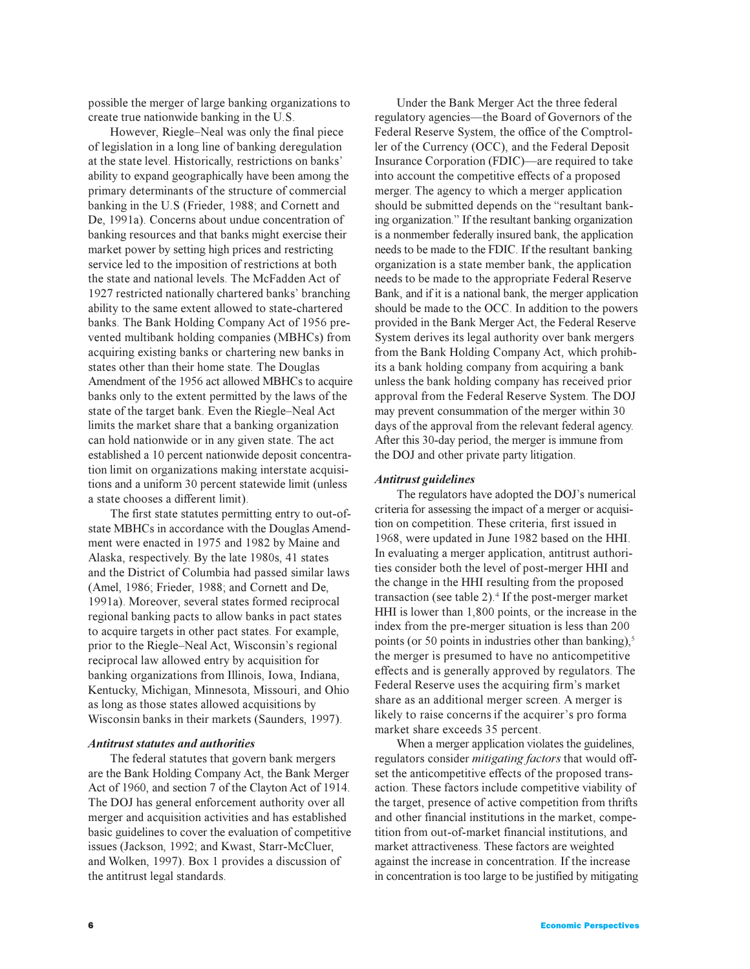possible the merger of large banking organizations to create true nationwide banking in the U.S.

However, Riegle–Neal was only the final piece of legislation in a long line of banking deregulation at the state level. Historically, restrictions on banks ability to expand geographically have been among the primary determinants of the structure of commercial banking in the U.S (Frieder, 1988; and Cornett and De, 1991a). Concerns about undue concentration of banking resources and that banks might exercise their market power by setting high prices and restricting service led to the imposition of restrictions at both the state and national levels. The McFadden Act of 1927 restricted nationally chartered banks' branching ability to the same extent allowed to state-chartered banks. The Bank Holding Company Act of 1956 prevented multibank holding companies (MBHCs) from acquiring existing banks or chartering new banks in states other than their home state. The Douglas Amendment of the 1956 act allowed MBHCs to acquire banks only to the extent permitted by the laws of the state of the target bank. Even the Riegle-Neal Act limits the market share that a banking organization can hold nationwide or in any given state. The act established a 10 percent nationwide deposit concentration limit on organizations making interstate acquisitions and a uniform 30 percent statewide limit (unless a state chooses a different limit).

The first state statutes permitting entry to out-ofstate MBHCs in accordance with the Douglas Amendment were enacted in 1975 and 1982 by Maine and Alaska, respectively. By the late 1980s, 41 states and the District of Columbia had passed similar laws (Amel, 1986; Frieder, 1988; and Cornett and De, 1991a). Moreover, several states formed reciprocal regional banking pacts to allow banks in pact states to acquire targets in other pact states. For example, prior to the Riegle-Neal Act, Wisconsin's regional reciprocal law allowed entry by acquisition for banking organizations from Illinois, Iowa, Indiana, Kentucky, Michigan, Minnesota, Missouri, and Ohio as long as those states allowed acquisitions by Wisconsin banks in their markets (Saunders, 1997).

### *Antitrust statutes and authorities*

The federal statutes that govern bank mergers are the Bank Holding Company Act, the Bank Merger Act of 1960, and section 7 of the Clayton Act of 1914. The DOJ has general enforcement authority over all merger and acquisition activities and has established basic guidelines to cover the evaluation of competitive issues (Jackson, 1992; and Kwast, Starr-McCluer, and Wolken, 1997). Box 1 provides a discussion of the antitrust legal standards.

Under the Bank Merger Act the three federal regulatory agencies—the Board of Governors of the Federal Reserve System, the office of the Comptroller of the Currency (OCC), and the Federal Deposit Insurance Corporation (FDIC)—are required to take into account the competitive effects of a proposed merger. The agency to which a merger application should be submitted depends on the "resultant banking organization." If the resultant banking organization is a nonmember federally insured bank, the application needs to be made to the FDIC. If the resultant banking organization is a state member bank, the application needs to be made to the appropriate Federal Reserve Bank, and if it is a national bank, the merger application should be made to the OCC. In addition to the powers provided in the Bank Merger Act, the Federal Reserve System derives its legal authority over bank mergers from the Bank Holding Company Act, which prohibits a bank holding company from acquiring a bank unless the bank holding company has received prior approval from the Federal Reserve System. The DOJ may prevent consummation of the merger within 30 days of the approval from the relevant federal agency. After this 30-day period, the merger is immune from the DOJ and other private party litigation.

### *Antitrust guidelines*

The regulators have adopted the DOJ's numerical criteria for assessing the impact of a merger or acquisition on competition. These criteria, first issued in 1968, were updated in June 1982 based on the HHI. In evaluating a merger application, antitrust authorities consider both the level of post-merger HHI and the change in the HHI resulting from the proposed transaction (see table 2).<sup>4</sup> If the post-merger market HHI is lower than 1,800 points, or the increase in the index from the pre-merger situation is less than 200 points (or 50 points in industries other than banking), $5$ the merger is presumed to have no anticompetitive effects and is generally approved by regulators. The Federal Reserve uses the acquiring firm's market share as an additional merger screen. A merger is likely to raise concerns if the acquirer's pro forma market share exceeds 35 percent.

When a merger application violates the guidelines, regulators consider *mitigating factors* that would offset the anticompetitive effects of the proposed transaction. These factors include competitive viability of the target, presence of active competition from thrifts and other financial institutions in the market, competition from out-of-market financial institutions, and market attractiveness. These factors are weighted against the increase in concentration. If the increase in concentration is too large to be justified by mitigating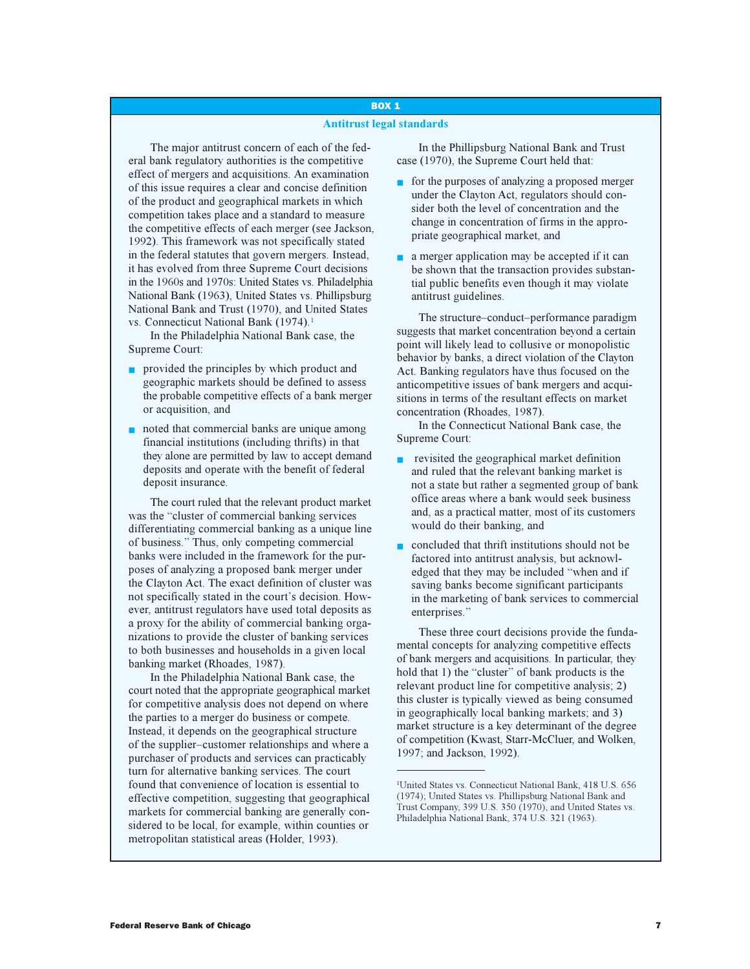## BOX 1

### **Antitrust legal standards**

The major antitrust concern of each of the federal bank regulatory authorities is the competitive effect of mergers and acquisitions. An examination of this issue requires a clear and concise definition of the product and geographical markets in which competition takes place and a standard to measure the competitive effects of each merger (see Jackson, 1992). This framework was not specifically stated in the federal statutes that govern mergers. Instead, it has evolved from three Supreme Court decisions in the 1960s and 1970s: United States vs. Philadelphia National Bank (1963), United States vs. Phillipsburg National Bank and Trust (1970), and United States vs. Connecticut National Bank (1974).<sup>1</sup>

In the Philadelphia National Bank case, the Supreme Court:

- provided the principles by which product and geographic markets should be defined to assess the probable competitive effects of a bank merger or acquisition, and
- noted that commercial banks are unique among financial institutions (including thrifts) in that they alone are permitted by law to accept demand deposits and operate with the benefit of federal deposit insurance.

The court ruled that the relevant product market was the "cluster of commercial banking services" differentiating commercial banking as a unique line of business. Thus, only competing commercial banks were included in the framework for the purposes of analyzing a proposed bank merger under the Clayton Act. The exact definition of cluster was not specifically stated in the court's decision. However, antitrust regulators have used total deposits as a proxy for the ability of commercial banking organizations to provide the cluster of banking services to both businesses and households in a given local banking market (Rhoades, 1987).

In the Philadelphia National Bank case, the court noted that the appropriate geographical market for competitive analysis does not depend on where the parties to a merger do business or compete. Instead, it depends on the geographical structure of the supplier-customer relationships and where a purchaser of products and services can practicably turn for alternative banking services. The court found that convenience of location is essential to effective competition, suggesting that geographical markets for commercial banking are generally considered to be local, for example, within counties or metropolitan statistical areas (Holder, 1993).

In the Phillipsburg National Bank and Trust case (1970), the Supreme Court held that:

- for the purposes of analyzing a proposed merger under the Clayton Act, regulators should consider both the level of concentration and the change in concentration of firms in the appropriate geographical market, and
- a merger application may be accepted if it can be shown that the transaction provides substantial public benefits even though it may violate antitrust guidelines.

The structure-conduct-performance paradigm suggests that market concentration beyond a certain point will likely lead to collusive or monopolistic behavior by banks, a direct violation of the Clayton Act. Banking regulators have thus focused on the anticompetitive issues of bank mergers and acquisitions in terms of the resultant effects on market concentration (Rhoades, 1987).

In the Connecticut National Bank case, the Supreme Court:

- revisited the geographical market definition and ruled that the relevant banking market is not a state but rather a segmented group of bank office areas where a bank would seek business and, as a practical matter, most of its customers would do their banking, and
- concluded that thrift institutions should not be factored into antitrust analysis, but acknowledged that they may be included "when and if saving banks become significant participants in the marketing of bank services to commercial enterprises."

These three court decisions provide the fundamental concepts for analyzing competitive effects of bank mergers and acquisitions. In particular, they hold that 1) the "cluster" of bank products is the relevant product line for competitive analysis; 2) this cluster is typically viewed as being consumed in geographically local banking markets; and 3) market structure is a key determinant of the degree of competition (Kwast, Starr-McCluer, and Wolken, 1997; and Jackson, 1992).

<sup>1</sup> United States vs. Connecticut National Bank, 418 U.S. 656 (1974); United States vs. Phillipsburg National Bank and Trust Company, 399 U.S. 350 (1970), and United States vs. Philadelphia National Bank, 374 U.S. 321 (1963).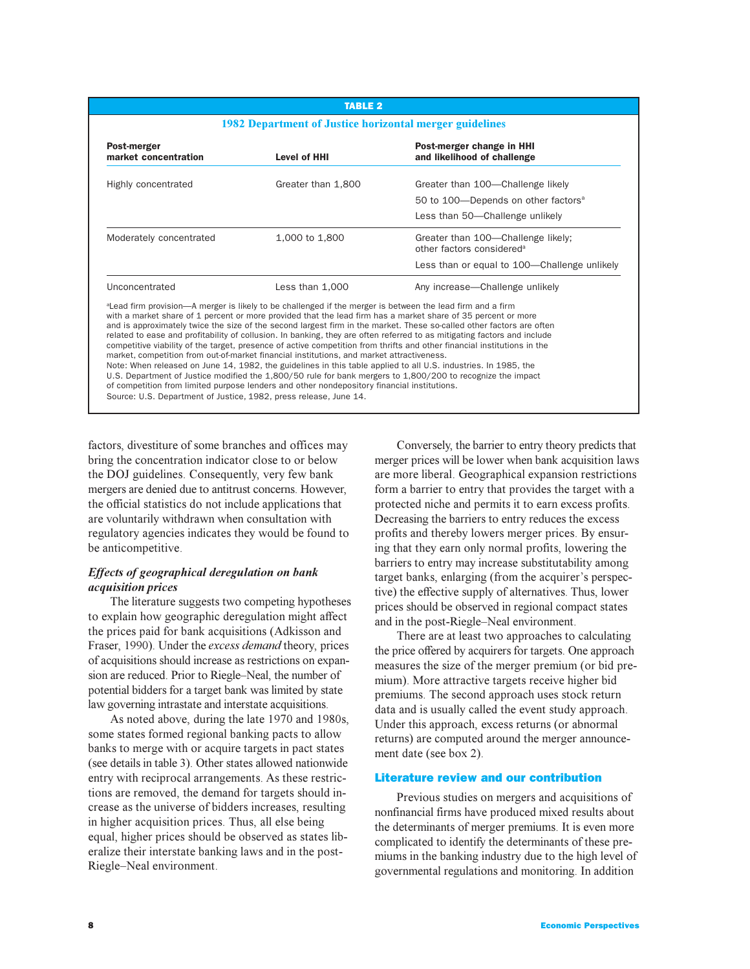### TABLE 2

#### **1982 Department of Justice horizontal merger guidelines**

| Post-merger<br>market concentration                                                                                                                                                                                                                                                                                | <b>Level of HHI</b> | Post-merger change in HHI<br>and likelihood of challenge                                                                                                                                                                                                                                                                                                                                                                                                                                                                                                                                                                                                                                                                         |
|--------------------------------------------------------------------------------------------------------------------------------------------------------------------------------------------------------------------------------------------------------------------------------------------------------------------|---------------------|----------------------------------------------------------------------------------------------------------------------------------------------------------------------------------------------------------------------------------------------------------------------------------------------------------------------------------------------------------------------------------------------------------------------------------------------------------------------------------------------------------------------------------------------------------------------------------------------------------------------------------------------------------------------------------------------------------------------------------|
| Highly concentrated                                                                                                                                                                                                                                                                                                | Greater than 1,800  | Greater than 100—Challenge likely                                                                                                                                                                                                                                                                                                                                                                                                                                                                                                                                                                                                                                                                                                |
|                                                                                                                                                                                                                                                                                                                    |                     | 50 to 100—Depends on other factors <sup>a</sup>                                                                                                                                                                                                                                                                                                                                                                                                                                                                                                                                                                                                                                                                                  |
|                                                                                                                                                                                                                                                                                                                    |                     | Less than 50—Challenge unlikely                                                                                                                                                                                                                                                                                                                                                                                                                                                                                                                                                                                                                                                                                                  |
| Moderately concentrated                                                                                                                                                                                                                                                                                            | 1,000 to 1,800      | Greater than 100—Challenge likely;<br>other factors considered <sup>a</sup>                                                                                                                                                                                                                                                                                                                                                                                                                                                                                                                                                                                                                                                      |
|                                                                                                                                                                                                                                                                                                                    |                     | Less than or equal to 100—Challenge unlikely                                                                                                                                                                                                                                                                                                                                                                                                                                                                                                                                                                                                                                                                                     |
| Unconcentrated                                                                                                                                                                                                                                                                                                     | Less than 1,000     | Any increase—Challenge unlikely                                                                                                                                                                                                                                                                                                                                                                                                                                                                                                                                                                                                                                                                                                  |
| <sup>a</sup> Lead firm provision—A merger is likely to be challenged if the merger is between the lead firm and a firm<br>market, competition from out-of-market financial institutions, and market attractiveness.<br>of competition from limited purpose lenders and other nondepository financial institutions. |                     | with a market share of 1 percent or more provided that the lead firm has a market share of 35 percent or more<br>and is approximately twice the size of the second largest firm in the market. These so-called other factors are often<br>related to ease and profitability of collusion. In banking, they are often referred to as mitigating factors and include<br>competitive viability of the target, presence of active competition from thrifts and other financial institutions in the<br>Note: When released on June 14, 1982, the guidelines in this table applied to all U.S. industries. In 1985, the<br>U.S. Department of Justice modified the 1,800/50 rule for bank mergers to 1,800/200 to recognize the impact |

Source: U.S. Department of Justice, 1982, press release, June 14.

factors, divestiture of some branches and offices may bring the concentration indicator close to or below the DOJ guidelines. Consequently, very few bank mergers are denied due to antitrust concerns. However, the official statistics do not include applications that are voluntarily withdrawn when consultation with regulatory agencies indicates they would be found to be anticompetitive.

## *Effects of geographical deregulation on bank acquisition prices*

The literature suggests two competing hypotheses to explain how geographic deregulation might affect the prices paid for bank acquisitions (Adkisson and Fraser, 1990). Under the *excess demand* theory, prices of acquisitions should increase as restrictions on expansion are reduced. Prior to Riegle–Neal, the number of potential bidders for a target bank was limited by state law governing intrastate and interstate acquisitions.

As noted above, during the late 1970 and 1980s, some states formed regional banking pacts to allow banks to merge with or acquire targets in pact states (see details in table 3). Other states allowed nationwide entry with reciprocal arrangements. As these restrictions are removed, the demand for targets should increase as the universe of bidders increases, resulting in higher acquisition prices. Thus, all else being equal, higher prices should be observed as states liberalize their interstate banking laws and in the post-Riegle-Neal environment.

Conversely, the barrier to entry theory predicts that merger prices will be lower when bank acquisition laws are more liberal. Geographical expansion restrictions form a barrier to entry that provides the target with a protected niche and permits it to earn excess profits. Decreasing the barriers to entry reduces the excess profits and thereby lowers merger prices. By ensuring that they earn only normal profits, lowering the barriers to entry may increase substitutability among target banks, enlarging (from the acquirer's perspective) the effective supply of alternatives. Thus, lower prices should be observed in regional compact states and in the post-Riegle-Neal environment.

There are at least two approaches to calculating the price offered by acquirers for targets. One approach measures the size of the merger premium (or bid premium). More attractive targets receive higher bid premiums. The second approach uses stock return data and is usually called the event study approach. Under this approach, excess returns (or abnormal returns) are computed around the merger announcement date (see box 2).

### Literature review and our contribution

Previous studies on mergers and acquisitions of nonfinancial firms have produced mixed results about the determinants of merger premiums. It is even more complicated to identify the determinants of these premiums in the banking industry due to the high level of governmental regulations and monitoring. In addition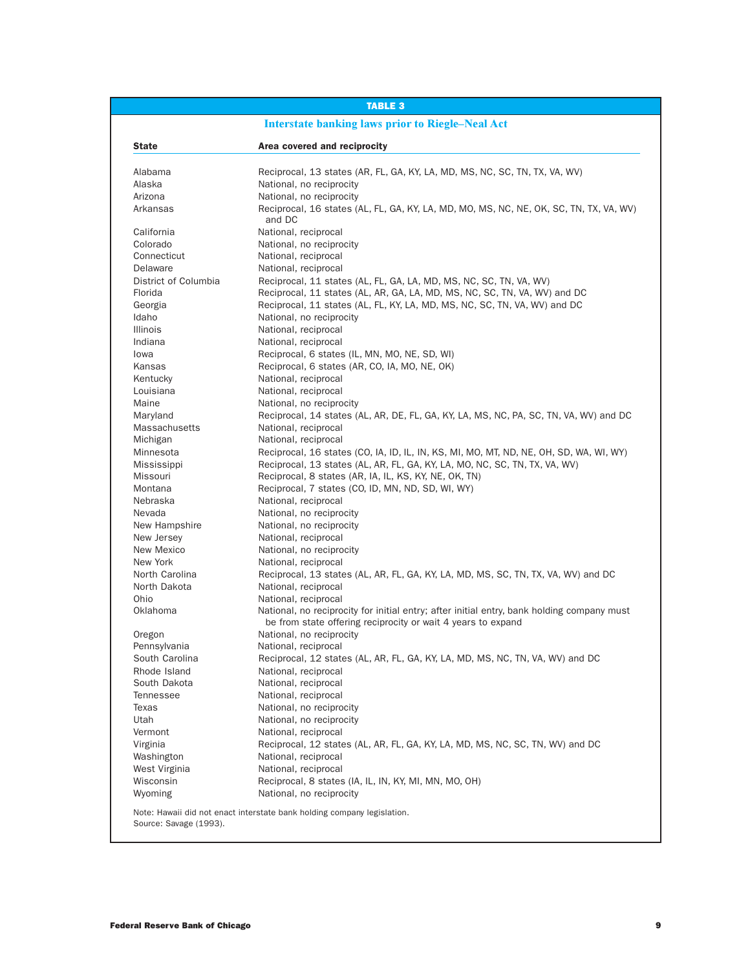|                        | <b>TABLE 3</b>                                                                                                                                             |
|------------------------|------------------------------------------------------------------------------------------------------------------------------------------------------------|
|                        | <b>Interstate banking laws prior to Riegle-Neal Act</b>                                                                                                    |
| <b>State</b>           | Area covered and reciprocity                                                                                                                               |
| Alabama                | Reciprocal, 13 states (AR, FL, GA, KY, LA, MD, MS, NC, SC, TN, TX, VA, WV)                                                                                 |
| Alaska                 | National, no reciprocity                                                                                                                                   |
| Arizona                | National, no reciprocity                                                                                                                                   |
| Arkansas               | Reciprocal, 16 states (AL, FL, GA, KY, LA, MD, MO, MS, NC, NE, OK, SC, TN, TX, VA, WV)                                                                     |
|                        | and DC                                                                                                                                                     |
| California             | National, reciprocal                                                                                                                                       |
| Colorado               | National, no reciprocity                                                                                                                                   |
| Connecticut            | National, reciprocal                                                                                                                                       |
| Delaware               | National, reciprocal                                                                                                                                       |
| District of Columbia   | Reciprocal, 11 states (AL, FL, GA, LA, MD, MS, NC, SC, TN, VA, WV)                                                                                         |
| Florida                | Reciprocal, 11 states (AL, AR, GA, LA, MD, MS, NC, SC, TN, VA, WV) and DC                                                                                  |
| Georgia                | Reciprocal, 11 states (AL, FL, KY, LA, MD, MS, NC, SC, TN, VA, WV) and DC                                                                                  |
| Idaho                  | National, no reciprocity                                                                                                                                   |
| Illinois               | National, reciprocal                                                                                                                                       |
| Indiana                | National, reciprocal                                                                                                                                       |
| lowa                   | Reciprocal, 6 states (IL, MN, MO, NE, SD, WI)                                                                                                              |
| Kansas                 | Reciprocal, 6 states (AR, CO, IA, MO, NE, OK)                                                                                                              |
| Kentucky               | National, reciprocal                                                                                                                                       |
| Louisiana              | National, reciprocal                                                                                                                                       |
| Maine                  | National, no reciprocity                                                                                                                                   |
| Maryland               | Reciprocal, 14 states (AL, AR, DE, FL, GA, KY, LA, MS, NC, PA, SC, TN, VA, WV) and DC                                                                      |
| Massachusetts          | National, reciprocal                                                                                                                                       |
| Michigan               | National, reciprocal                                                                                                                                       |
| Minnesota              | Reciprocal, 16 states (CO, IA, ID, IL, IN, KS, MI, MO, MT, ND, NE, OH, SD, WA, WI, WY)                                                                     |
| Mississippi            | Reciprocal, 13 states (AL, AR, FL, GA, KY, LA, MO, NC, SC, TN, TX, VA, WV)                                                                                 |
| Missouri               | Reciprocal, 8 states (AR, IA, IL, KS, KY, NE, OK, TN)                                                                                                      |
| Montana                | Reciprocal, 7 states (CO, ID, MN, ND, SD, WI, WY)                                                                                                          |
| Nebraska               | National, reciprocal                                                                                                                                       |
| Nevada                 | National, no reciprocity                                                                                                                                   |
| New Hampshire          | National, no reciprocity                                                                                                                                   |
| New Jersey             | National, reciprocal                                                                                                                                       |
| New Mexico             | National, no reciprocity                                                                                                                                   |
| New York               | National, reciprocal                                                                                                                                       |
| North Carolina         | Reciprocal, 13 states (AL, AR, FL, GA, KY, LA, MD, MS, SC, TN, TX, VA, WV) and DC                                                                          |
| North Dakota           | National, reciprocal                                                                                                                                       |
| Ohio                   | National, reciprocal                                                                                                                                       |
| Oklahoma               | National, no reciprocity for initial entry; after initial entry, bank holding company must<br>be from state offering reciprocity or wait 4 years to expand |
| Oregon                 | National, no reciprocity                                                                                                                                   |
| Pennsylvania           | National, reciprocal                                                                                                                                       |
| South Carolina         | Reciprocal, 12 states (AL, AR, FL, GA, KY, LA, MD, MS, NC, TN, VA, WV) and DC                                                                              |
| Rhode Island           | National, reciprocal                                                                                                                                       |
| South Dakota           | National, reciprocal                                                                                                                                       |
| <b>Tennessee</b>       | National, reciprocal                                                                                                                                       |
| Texas                  | National, no reciprocity                                                                                                                                   |
| Utah                   | National, no reciprocity                                                                                                                                   |
| Vermont                | National, reciprocal                                                                                                                                       |
| Virginia               | Reciprocal, 12 states (AL, AR, FL, GA, KY, LA, MD, MS, NC, SC, TN, WV) and DC                                                                              |
| Washington             | National, reciprocal                                                                                                                                       |
| West Virginia          | National, reciprocal                                                                                                                                       |
| Wisconsin              | Reciprocal, 8 states (IA, IL, IN, KY, MI, MN, MO, OH)                                                                                                      |
| Wyoming                | National, no reciprocity                                                                                                                                   |
| Source: Savage (1993). | Note: Hawaii did not enact interstate bank holding company legislation.                                                                                    |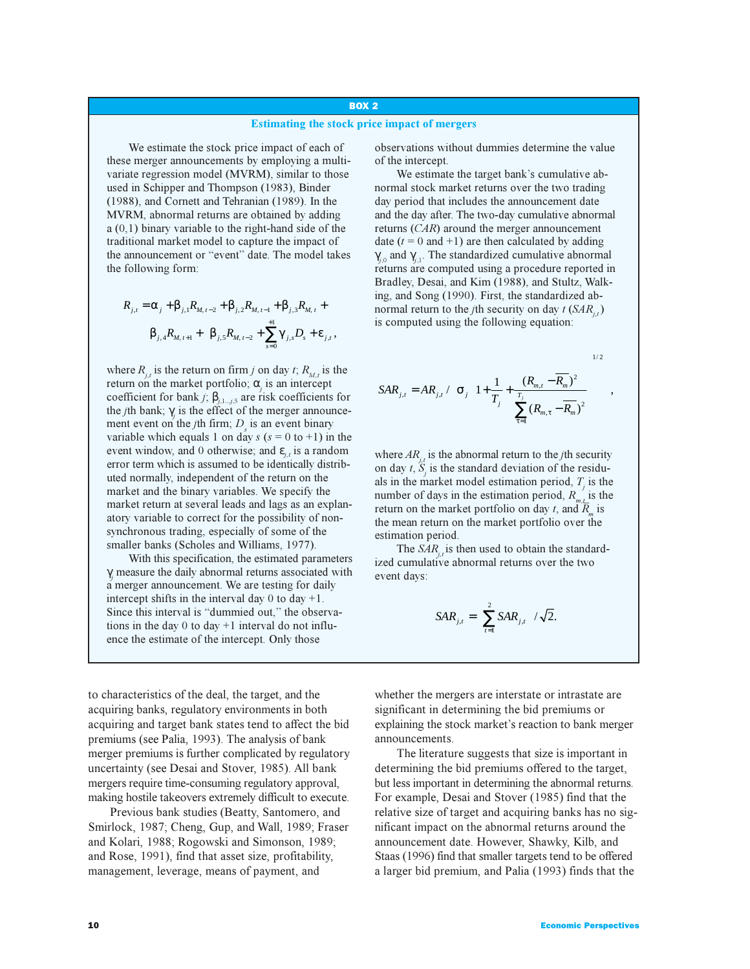## BOX 2

#### **Estimating the stock price impact of mergers**

We estimate the stock price impact of each of these merger announcements by employing a multivariate regression model (MVRM), similar to those used in Schipper and Thompson (1983), Binder (1988), and Cornett and Tehranian (1989). In the MVRM, abnormal returns are obtained by adding a (0,1) binary variable to the right-hand side of the traditional market model to capture the impact of the announcement or "event" date. The model takes the following form:

$$
R_{j,t} = \alpha_j + \beta_{j,1} R_{M,t-2} + \beta_{j,2} R_{M,t-1} + \beta_{j,3} R_{M,t} +
$$
  

$$
\beta_{j,4} R_{M,t+1} + \beta_{j,5} R_{M,t-2} + \sum_{s=0}^{+1} \gamma_{j,s} D_s + \varepsilon_{j,t},
$$

where  $R_{i,t}$  is the return on firm *j* on day *t*;  $R_{M,t}$  is the return on the market portfolio;  $\alpha$ <sub>i</sub> is an intercept coefficient for bank *j*;  $\beta$ <sub>*j*,1*...j*,5</sub> are risk coefficients for the *j*th bank;  $\gamma$  is the effect of the merger announcement event on the *j*th firm;  $D<sub>s</sub>$  is an event binary variable which equals 1 on day  $s$  ( $s = 0$  to +1) in the event window, and 0 otherwise; and  $\varepsilon_{i,t}$  is a random error term which is assumed to be identically distributed normally, independent of the return on the market and the binary variables. We specify the market return at several leads and lags as an explanatory variable to correct for the possibility of nonsynchronous trading, especially of some of the smaller banks (Scholes and Williams, 1977).

With this specification, the estimated parameters γ*j* measure the daily abnormal returns associated with a merger announcement. We are testing for daily intercept shifts in the interval day  $0$  to day  $+1$ . Since this interval is "dummied out," the observations in the day  $0$  to day  $+1$  interval do not influence the estimate of the intercept. Only those

to characteristics of the deal, the target, and the acquiring banks, regulatory environments in both acquiring and target bank states tend to affect the bid premiums (see Palia, 1993). The analysis of bank merger premiums is further complicated by regulatory uncertainty (see Desai and Stover, 1985). All bank mergers require time-consuming regulatory approval, making hostile takeovers extremely difficult to execute.

Previous bank studies (Beatty, Santomero, and Smirlock, 1987; Cheng, Gup, and Wall, 1989; Fraser and Kolari, 1988; Rogowski and Simonson, 1989; and Rose, 1991), find that asset size, profitability, management, leverage, means of payment, and

observations without dummies determine the value of the intercept.

We estimate the target bank's cumulative abnormal stock market returns over the two trading day period that includes the announcement date and the day after. The two-day cumulative abnormal returns (*CAR*) around the merger announcement date  $(t = 0$  and  $+1)$  are then calculated by adding  $γ<sub>i0</sub>$  and  $γ<sub>i1</sub>$ . The standardized cumulative abnormal returns are computed using a procedure reported in Bradley, Desai, and Kim (1988), and Stultz, Walking, and Song (1990). First, the standardized abnormal return to the *j*th security on day  $t(SAR_{i,t})$ is computed using the following equation:

$$
SAR_{j,t} = AR_{j,t} / \left[ \sigma_j \left( 1 + \frac{1}{T_j} + \frac{(R_{m,t} - \overline{R_m})^2}{\sum_{\tau=1}^{T_j} (R_{m,\tau} - \overline{R_m})^2} \right)^{1/2} \right],
$$

where  $AR_i$ , is the abnormal return to the *j*th security on day *t*,  $\overleftrightarrow{S}_i$  is the standard deviation of the residuals in the market model estimation period,  $T<sub>j</sub>$  is the number of days in the estimation period,  $R_{n}$  is the return on the market portfolio on day *t*, and  $\overline{R}_m$  is the mean return on the market portfolio over the estimation period.

The *SAR*<sub>*j*</sub> is then used to obtain the standardized cumulative abnormal returns over the two event days:

$$
SAR_{j,t} = \left[\sum_{t=1}^{2} SAR_{j,t}\right] / \sqrt{2}.
$$

whether the mergers are interstate or intrastate are significant in determining the bid premiums or explaining the stock market's reaction to bank merger announcements.

The literature suggests that size is important in determining the bid premiums offered to the target, but less important in determining the abnormal returns. For example, Desai and Stover (1985) find that the relative size of target and acquiring banks has no significant impact on the abnormal returns around the announcement date. However, Shawky, Kilb, and Staas (1996) find that smaller targets tend to be offered a larger bid premium, and Palia (1993) finds that the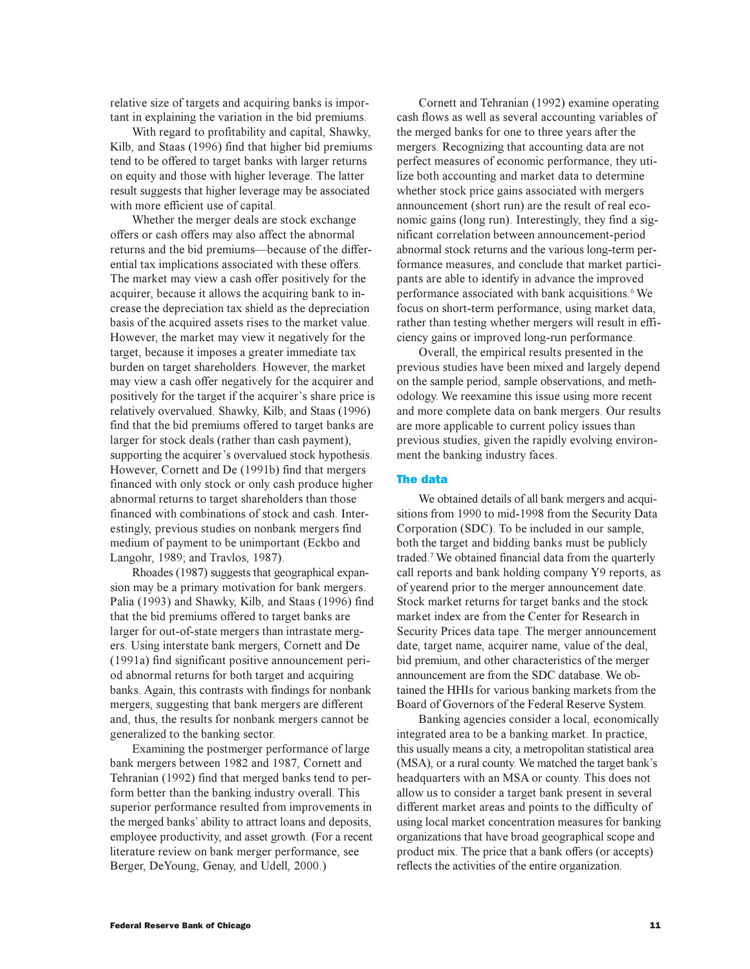relative size of targets and acquiring banks is important in explaining the variation in the bid premiums.

With regard to profitability and capital, Shawky, Kilb, and Staas (1996) find that higher bid premiums tend to be offered to target banks with larger returns on equity and those with higher leverage. The latter result suggests that higher leverage may be associated with more efficient use of capital.

Whether the merger deals are stock exchange offers or cash offers may also affect the abnormal returns and the bid premiums-because of the differential tax implications associated with these offers. The market may view a cash offer positively for the acquirer, because it allows the acquiring bank to increase the depreciation tax shield as the depreciation basis of the acquired assets rises to the market value. However, the market may view it negatively for the target, because it imposes a greater immediate tax burden on target shareholders. However, the market may view a cash offer negatively for the acquirer and positively for the target if the acquirer's share price is relatively overvalued. Shawky, Kilb, and Staas (1996) find that the bid premiums offered to target banks are larger for stock deals (rather than cash payment), supporting the acquirer's overvalued stock hypothesis. However, Cornett and De (1991b) find that mergers financed with only stock or only cash produce higher abnormal returns to target shareholders than those financed with combinations of stock and cash. Interestingly, previous studies on nonbank mergers find medium of payment to be unimportant (Eckbo and Langohr, 1989; and Travlos, 1987).

Rhoades (1987) suggests that geographical expansion may be a primary motivation for bank mergers. Palia (1993) and Shawky, Kilb, and Staas (1996) find that the bid premiums offered to target banks are larger for out-of-state mergers than intrastate mergers. Using interstate bank mergers, Cornett and De (1991a) find significant positive announcement period abnormal returns for both target and acquiring banks. Again, this contrasts with findings for nonbank mergers, suggesting that bank mergers are different and, thus, the results for nonbank mergers cannot be generalized to the banking sector.

Examining the postmerger performance of large bank mergers between 1982 and 1987, Cornett and Tehranian (1992) find that merged banks tend to perform better than the banking industry overall. This superior performance resulted from improvements in the merged banks' ability to attract loans and deposits, employee productivity, and asset growth. (For a recent literature review on bank merger performance, see Berger, DeYoung, Genay, and Udell, 2000.)

Cornett and Tehranian (1992) examine operating cash flows as well as several accounting variables of the merged banks for one to three years after the mergers. Recognizing that accounting data are not perfect measures of economic performance, they utilize both accounting and market data to determine whether stock price gains associated with mergers announcement (short run) are the result of real economic gains (long run). Interestingly, they find a significant correlation between announcement-period abnormal stock returns and the various long-term performance measures, and conclude that market participants are able to identify in advance the improved performance associated with bank acquisitions.<sup>6</sup> We focus on short-term performance, using market data, rather than testing whether mergers will result in efficiency gains or improved long-run performance.

Overall, the empirical results presented in the previous studies have been mixed and largely depend on the sample period, sample observations, and methodology. We reexamine this issue using more recent and more complete data on bank mergers. Our results are more applicable to current policy issues than previous studies, given the rapidly evolving environment the banking industry faces.

## The data

We obtained details of all bank mergers and acquisitions from 1990 to mid-1998 from the Security Data Corporation (SDC). To be included in our sample, both the target and bidding banks must be publicly traded.<sup>7</sup> We obtained financial data from the quarterly call reports and bank holding company Y9 reports, as of yearend prior to the merger announcement date. Stock market returns for target banks and the stock market index are from the Center for Research in Security Prices data tape. The merger announcement date, target name, acquirer name, value of the deal, bid premium, and other characteristics of the merger announcement are from the SDC database. We obtained the HHIs for various banking markets from the Board of Governors of the Federal Reserve System.

Banking agencies consider a local, economically integrated area to be a banking market. In practice, this usually means a city, a metropolitan statistical area (MSA), or a rural county. We matched the target bank's headquarters with an MSA or county. This does not allow us to consider a target bank present in several different market areas and points to the difficulty of using local market concentration measures for banking organizations that have broad geographical scope and product mix. The price that a bank offers (or accepts) reflects the activities of the entire organization.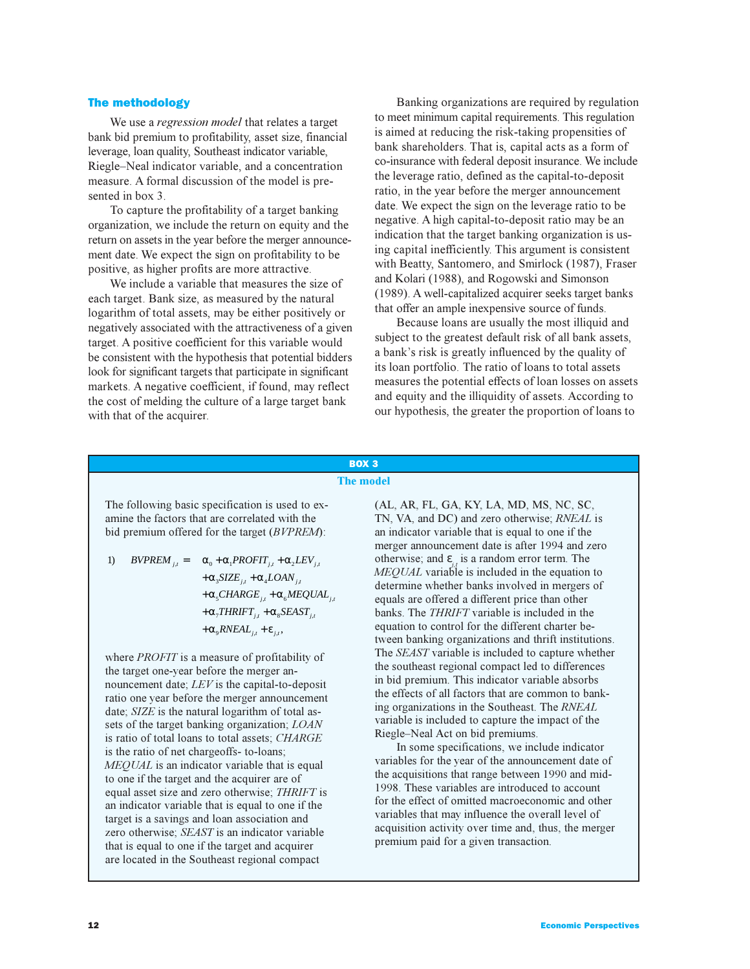### The methodology

We use a *regression model* that relates a target bank bid premium to profitability, asset size, financial leverage, loan quality, Southeast indicator variable, Riegle–Neal indicator variable, and a concentration measure. A formal discussion of the model is presented in box 3.

To capture the profitability of a target banking organization, we include the return on equity and the return on assets in the year before the merger announcement date. We expect the sign on profitability to be positive, as higher profits are more attractive.

We include a variable that measures the size of each target. Bank size, as measured by the natural logarithm of total assets, may be either positively or negatively associated with the attractiveness of a given target. A positive coefficient for this variable would be consistent with the hypothesis that potential bidders look for significant targets that participate in significant markets. A negative coefficient, if found, may reflect the cost of melding the culture of a large target bank with that of the acquirer.

Banking organizations are required by regulation to meet minimum capital requirements. This regulation is aimed at reducing the risk-taking propensities of bank shareholders. That is, capital acts as a form of co-insurance with federal deposit insurance. We include the leverage ratio, defined as the capital-to-deposit ratio, in the year before the merger announcement date. We expect the sign on the leverage ratio to be negative. A high capital-to-deposit ratio may be an indication that the target banking organization is using capital inefficiently. This argument is consistent with Beatty, Santomero, and Smirlock (1987), Fraser and Kolari (1988), and Rogowski and Simonson (1989). A well-capitalized acquirer seeks target banks that offer an ample inexpensive source of funds.

Because loans are usually the most illiquid and subject to the greatest default risk of all bank assets, a bank's risk is greatly influenced by the quality of its loan portfolio. The ratio of loans to total assets measures the potential effects of loan losses on assets and equity and the illiquidity of assets. According to our hypothesis, the greater the proportion of loans to

## BOX 3 **The model**

The following basic specification is used to examine the factors that are correlated with the bid premium offered for the target (*BVPREM*):

1) 
$$
BVPREM_{j,i} = \alpha_0 + \alpha_1 PROFIT_{j,i} + \alpha_2LEV_{j,i} + \alpha_3 SIZE_{j,i} + \alpha_4 LOAN_{j,i} + \alpha_5 CHARGE_{j,i} + \alpha_6 MEQUAL_{j,i} + \alpha_7 IHRIFT_{j,i} + \alpha_8 SEAST_{j,i} + \alpha_9 RNEAL_{j,i} + \varepsilon_{j,i},
$$

where *PROFIT* is a measure of profitability of the target one-year before the merger announcement date; *LEV* is the capital-to-deposit ratio one year before the merger announcement date; *SIZE* is the natural logarithm of total assets of the target banking organization; *LOAN* is ratio of total loans to total assets; *CHARGE* is the ratio of net chargeoffs- to-loans; *MEQUAL* is an indicator variable that is equal to one if the target and the acquirer are of equal asset size and zero otherwise; *THRIFT* is an indicator variable that is equal to one if the target is a savings and loan association and zero otherwise; *SEAST* is an indicator variable that is equal to one if the target and acquirer are located in the Southeast regional compact

(AL, AR, FL, GA, KY, LA, MD, MS, NC, SC, TN, VA, and DC) and zero otherwise; *RNEAL* is an indicator variable that is equal to one if the merger announcement date is after 1994 and zero otherwise; and ε*j,t* is a random error term. The *MEQUAL* variable is included in the equation to determine whether banks involved in mergers of equals are offered a different price than other banks. The *THRIFT* variable is included in the equation to control for the different charter between banking organizations and thrift institutions. The *SEAST* variable is included to capture whether the southeast regional compact led to differences in bid premium. This indicator variable absorbs the effects of all factors that are common to banking organizations in the Southeast. The *RNEAL* variable is included to capture the impact of the Riegle-Neal Act on bid premiums.

In some specifications, we include indicator variables for the year of the announcement date of the acquisitions that range between 1990 and mid-1998. These variables are introduced to account for the effect of omitted macroeconomic and other variables that may influence the overall level of acquisition activity over time and, thus, the merger premium paid for a given transaction.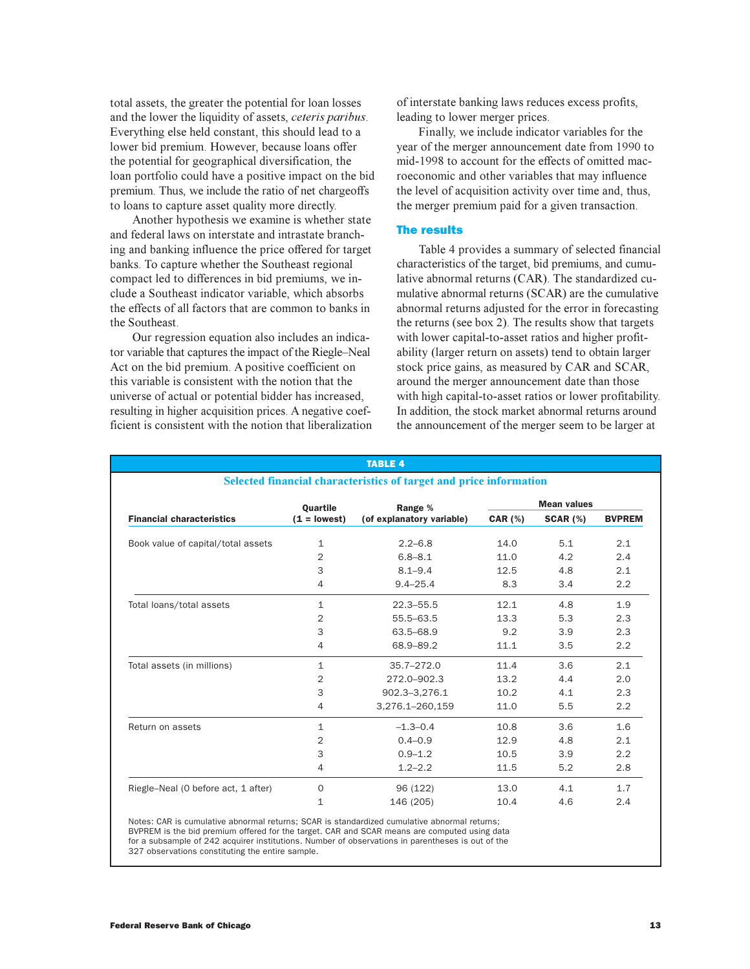total assets, the greater the potential for loan losses and the lower the liquidity of assets, *ceteris paribus*. Everything else held constant, this should lead to a lower bid premium. However, because loans offer the potential for geographical diversification, the loan portfolio could have a positive impact on the bid premium. Thus, we include the ratio of net chargeoffs to loans to capture asset quality more directly.

Another hypothesis we examine is whether state and federal laws on interstate and intrastate branching and banking influence the price offered for target banks. To capture whether the Southeast regional compact led to differences in bid premiums, we include a Southeast indicator variable, which absorbs the effects of all factors that are common to banks in the Southeast.

Our regression equation also includes an indicator variable that captures the impact of the Riegle–Neal Act on the bid premium. A positive coefficient on this variable is consistent with the notion that the universe of actual or potential bidder has increased, resulting in higher acquisition prices. A negative coefficient is consistent with the notion that liberalization of interstate banking laws reduces excess profits, leading to lower merger prices.

Finally, we include indicator variables for the year of the merger announcement date from 1990 to mid-1998 to account for the effects of omitted macroeconomic and other variables that may influence the level of acquisition activity over time and, thus, the merger premium paid for a given transaction.

### The results

Table 4 provides a summary of selected financial characteristics of the target, bid premiums, and cumulative abnormal returns (CAR). The standardized cumulative abnormal returns (SCAR) are the cumulative abnormal returns adjusted for the error in forecasting the returns (see box 2). The results show that targets with lower capital-to-asset ratios and higher profitability (larger return on assets) tend to obtain larger stock price gains, as measured by CAR and SCAR, around the merger announcement date than those with high capital-to-asset ratios or lower profitability. In addition, the stock market abnormal returns around the announcement of the merger seem to be larger at

|                                                                    |                 | <b>TABLE 4</b>            |                    |                 |               |  |
|--------------------------------------------------------------------|-----------------|---------------------------|--------------------|-----------------|---------------|--|
| Selected financial characteristics of target and price information |                 |                           |                    |                 |               |  |
|                                                                    | <b>Ouartile</b> | Range %                   | <b>Mean values</b> |                 |               |  |
| <b>Financial characteristics</b>                                   | $(1 = lowest)$  | (of explanatory variable) | <b>CAR (%)</b>     | <b>SCAR (%)</b> | <b>BVPREM</b> |  |
| Book value of capital/total assets                                 | 1               | $2.2 - 6.8$               | 14.0               | 5.1             | 2.1           |  |
|                                                                    | $\overline{2}$  | $6.8 - 8.1$               | 11.0               | 4.2             | 2.4           |  |
|                                                                    | 3               | $8.1 - 9.4$               | 12.5               | 4.8             | 2.1           |  |
|                                                                    | 4               | $9.4 - 25.4$              | 8.3                | 3.4             | 2.2           |  |
| Total loans/total assets                                           | $\mathbf 1$     | $22.3 - 55.5$             | 12.1               | 4.8             | 1.9           |  |
|                                                                    | $\overline{2}$  | 55.5-63.5                 | 13.3               | 5.3             | 2.3           |  |
|                                                                    | 3               | 63.5-68.9                 | 9.2                | 3.9             | 2.3           |  |
|                                                                    | $\overline{4}$  | 68.9-89.2                 | 11.1               | 3.5             | 2.2           |  |
| Total assets (in millions)                                         | 1               | $35.7 - 272.0$            | 11.4               | 3.6             | 2.1           |  |
|                                                                    | $\overline{2}$  | 272.0-902.3               | 13.2               | 4.4             | 2.0           |  |
|                                                                    | 3               | 902.3-3,276.1             | 10.2               | 4.1             | 2.3           |  |
|                                                                    | 4               | 3,276.1-260,159           | 11.0               | 5.5             | 2.2           |  |
| Return on assets                                                   | 1               | $-1.3 - 0.4$              | 10.8               | 3.6             | 1.6           |  |
|                                                                    | 2               | $0.4 - 0.9$               | 12.9               | 4.8             | 2.1           |  |
|                                                                    | 3               | $0.9 - 1.2$               | 10.5               | 3.9             | 2.2           |  |
|                                                                    | $\overline{4}$  | $1.2 - 2.2$               | 11.5               | 5.2             | 2.8           |  |
| Riegle-Neal (0 before act, 1 after)                                | $\mathbf{O}$    | 96 (122)                  | 13.0               | 4.1             | 1.7           |  |
|                                                                    | 1               | 146 (205)                 | 10.4               | 4.6             | 2.4           |  |
|                                                                    |                 |                           |                    |                 |               |  |

Notes: CAR is cumulative abnormal returns; SCAR is standardized cumulative abnormal returns; BVPREM is the bid premium offered for the target. CAR and SCAR means are computed using data for a subsample of 242 acquirer institutions. Number of observations in parentheses is out of the 327 observations constituting the entire sample.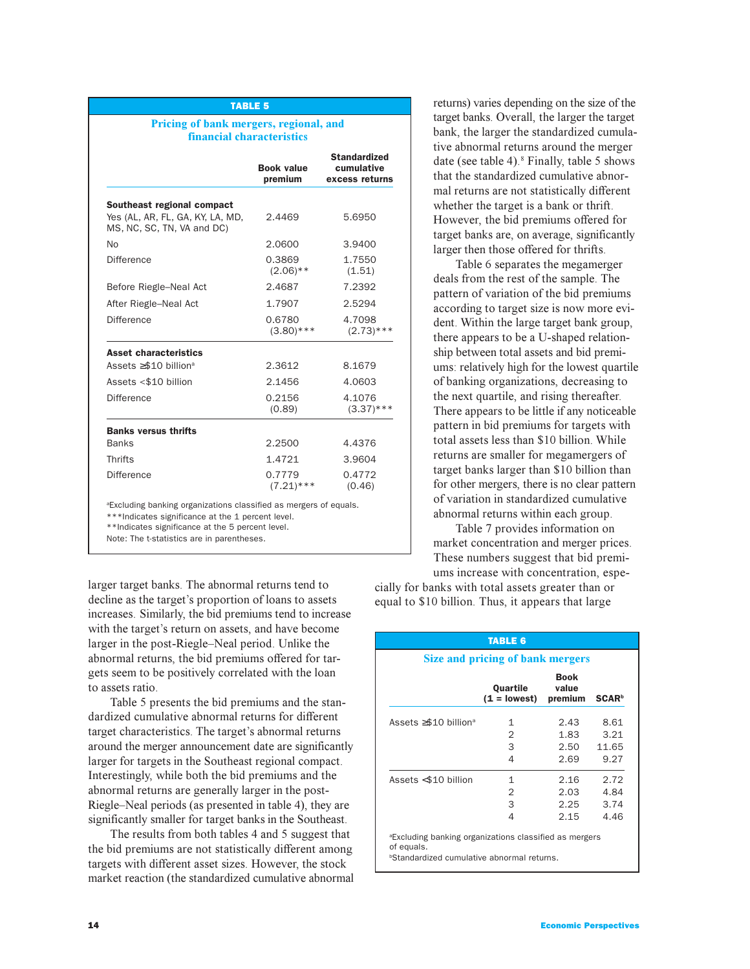### TABLE 5

### **Pricing of bank mergers, regional, and financial characteristics**

|                                                                | <b>Book value</b><br>premium | <b>Standardized</b><br>cumulative<br>excess returns |
|----------------------------------------------------------------|------------------------------|-----------------------------------------------------|
| Southeast regional compact                                     |                              |                                                     |
| Yes (AL, AR, FL, GA, KY, LA, MD,<br>MS, NC, SC, TN, VA and DC) | 2.4469                       | 5.6950                                              |
| No                                                             | 2.0600                       | 3.9400                                              |
| Difference                                                     | 0.3869<br>$(2.06)$ **        | 1.7550<br>(1.51)                                    |
| Before Riegle-Neal Act                                         | 2.4687                       | 7.2392                                              |
| After Riegle-Neal Act                                          | 1.7907                       | 2.5294                                              |
| Difference                                                     | 0.6780<br>$(3.80)$ ***       | 4.7098<br>$(2.73)$ ***                              |
| <b>Asset characteristics</b>                                   |                              |                                                     |
| Assets $\geq$ \$10 billion <sup>a</sup>                        | 2.3612                       | 8.1679                                              |
| Assets <\$10 billion                                           | 2.1456                       | 4.0603                                              |
| Difference                                                     | 0.2156<br>(0.89)             | 4.1076<br>$(3.37)$ ***                              |
| <b>Banks versus thrifts</b>                                    |                              |                                                     |
| <b>Banks</b>                                                   | 2.2500                       | 4.4376                                              |
| <b>Thrifts</b>                                                 | 1.4721                       | 3.9604                                              |
| Difference                                                     | 0.7779<br>$(7.21)$ ***       | 0.4772<br>(0.46)                                    |

<sup>a</sup>Excluding banking organizations classified as mergers of equals.

\*\*\*Indicates significance at the 1 percent level.

\*\*Indicates significance at the 5 percent level.

Note: The t-statistics are in parentheses.

larger target banks. The abnormal returns tend to decline as the target's proportion of loans to assets increases. Similarly, the bid premiums tend to increase with the target's return on assets, and have become larger in the post-Riegle-Neal period. Unlike the abnormal returns, the bid premiums offered for targets seem to be positively correlated with the loan to assets ratio.

Table 5 presents the bid premiums and the standardized cumulative abnormal returns for different target characteristics. The target's abnormal returns around the merger announcement date are significantly larger for targets in the Southeast regional compact. Interestingly, while both the bid premiums and the abnormal returns are generally larger in the post-Riegle–Neal periods (as presented in table 4), they are significantly smaller for target banks in the Southeast.

The results from both tables 4 and 5 suggest that the bid premiums are not statistically different among targets with different asset sizes. However, the stock market reaction (the standardized cumulative abnormal

returns) varies depending on the size of the target banks. Overall, the larger the target bank, the larger the standardized cumulative abnormal returns around the merger date (see table 4).<sup>8</sup> Finally, table 5 shows that the standardized cumulative abnormal returns are not statistically different whether the target is a bank or thrift. However, the bid premiums offered for target banks are, on average, significantly larger then those offered for thrifts.

Table 6 separates the megamerger deals from the rest of the sample. The pattern of variation of the bid premiums according to target size is now more evident. Within the large target bank group, there appears to be a U-shaped relationship between total assets and bid premiums: relatively high for the lowest quartile of banking organizations, decreasing to the next quartile, and rising thereafter. There appears to be little if any noticeable pattern in bid premiums for targets with total assets less than \$10 billion. While returns are smaller for megamergers of target banks larger than \$10 billion than for other mergers, there is no clear pattern of variation in standardized cumulative abnormal returns within each group.

Table 7 provides information on market concentration and merger prices. These numbers suggest that bid premiums increase with concentration, espe-

cially for banks with total assets greater than or equal to \$10 billion. Thus, it appears that large

| <b>TABLE 6</b>                                                                                                                       |                                            |                              |                               |  |  |  |  |  |
|--------------------------------------------------------------------------------------------------------------------------------------|--------------------------------------------|------------------------------|-------------------------------|--|--|--|--|--|
| Size and pricing of bank mergers                                                                                                     |                                            |                              |                               |  |  |  |  |  |
|                                                                                                                                      | Quartile<br>$(1 = lowest)$                 | Book<br>value<br>premium     | <b>SCAR</b> <sup>b</sup>      |  |  |  |  |  |
| Assets $\geq$ \$10 billion <sup>a</sup>                                                                                              | 1<br>$\overline{2}$<br>3<br>$\overline{4}$ | 2.43<br>1.83<br>2.50<br>2.69 | 8.61<br>3.21<br>11.65<br>9.27 |  |  |  |  |  |
| Assets <\$10 billion                                                                                                                 | 1<br>$\overline{2}$<br>3<br>4              | 2.16<br>2.03<br>2.25<br>2.15 | 2.72<br>4.84<br>3.74<br>4.46  |  |  |  |  |  |
| <sup>a</sup> Excluding banking organizations classified as mergers<br>of equals.<br><b>Standardized cumulative abnormal returns.</b> |                                            |                              |                               |  |  |  |  |  |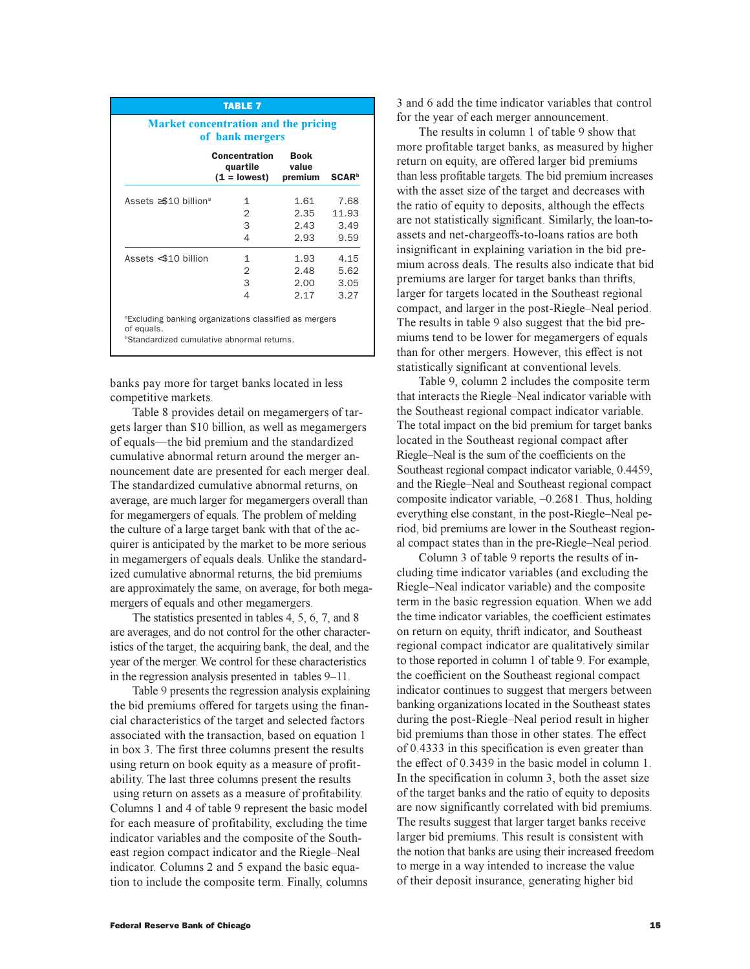| <b>TABLE 7</b>                                                                                                                       |                                             |                                 |                      |  |  |  |  |
|--------------------------------------------------------------------------------------------------------------------------------------|---------------------------------------------|---------------------------------|----------------------|--|--|--|--|
| <b>Market concentration and the pricing</b><br>of bank mergers                                                                       |                                             |                                 |                      |  |  |  |  |
|                                                                                                                                      | Concentration<br>quartile<br>$(1 = lowest)$ | <b>Book</b><br>value<br>premium | <b>SCAR</b>          |  |  |  |  |
| Assets $\geq$ \$10 billion <sup>a</sup>                                                                                              | 1<br>2                                      | 1.61<br>2.35                    | 7.68<br>11.93        |  |  |  |  |
|                                                                                                                                      | 3<br>4                                      | 2.43<br>2.93                    | 3.49<br>9.59         |  |  |  |  |
| Assets <\$10 billion                                                                                                                 | 1<br>2<br>3                                 | 1.93<br>2.48<br>2.00            | 4.15<br>5.62<br>3.05 |  |  |  |  |
| <sup>a</sup> Excluding banking organizations classified as mergers<br>of equals.<br><b>Standardized cumulative abnormal returns.</b> | 4                                           | 2.17                            | 3.27                 |  |  |  |  |

banks pay more for target banks located in less competitive markets.

Table 8 provides detail on megamergers of targets larger than \$10 billion, as well as megamergers of equals—the bid premium and the standardized cumulative abnormal return around the merger announcement date are presented for each merger deal. The standardized cumulative abnormal returns, on average, are much larger for megamergers overall than for megamergers of equals. The problem of melding the culture of a large target bank with that of the acquirer is anticipated by the market to be more serious in megamergers of equals deals. Unlike the standardized cumulative abnormal returns, the bid premiums are approximately the same, on average, for both megamergers of equals and other megamergers.

The statistics presented in tables 4, 5, 6, 7, and 8 are averages, and do not control for the other characteristics of the target, the acquiring bank, the deal, and the year of the merger. We control for these characteristics in the regression analysis presented in tables  $9-11$ .

Table 9 presents the regression analysis explaining the bid premiums offered for targets using the financial characteristics of the target and selected factors associated with the transaction, based on equation 1 in box 3. The first three columns present the results using return on book equity as a measure of profitability. The last three columns present the results using return on assets as a measure of profitability. Columns 1 and 4 of table 9 represent the basic model for each measure of profitability, excluding the time indicator variables and the composite of the Southeast region compact indicator and the Riegle–Neal indicator. Columns 2 and 5 expand the basic equation to include the composite term. Finally, columns

3 and 6 add the time indicator variables that control for the year of each merger announcement.

The results in column 1 of table 9 show that more profitable target banks, as measured by higher return on equity, are offered larger bid premiums than less profitable targets. The bid premium increases with the asset size of the target and decreases with the ratio of equity to deposits, although the effects are not statistically significant. Similarly, the loan-toassets and net-chargeoffs-to-loans ratios are both insignificant in explaining variation in the bid premium across deals. The results also indicate that bid premiums are larger for target banks than thrifts, larger for targets located in the Southeast regional compact, and larger in the post-Riegle-Neal period. The results in table 9 also suggest that the bid premiums tend to be lower for megamergers of equals than for other mergers. However, this effect is not statistically significant at conventional levels.

Table 9, column 2 includes the composite term that interacts the Riegle-Neal indicator variable with the Southeast regional compact indicator variable. The total impact on the bid premium for target banks located in the Southeast regional compact after Riegle–Neal is the sum of the coefficients on the Southeast regional compact indicator variable, 0.4459, and the Riegle-Neal and Southeast regional compact composite indicator variable,  $-0.2681$ . Thus, holding everything else constant, in the post-Riegle–Neal period, bid premiums are lower in the Southeast regional compact states than in the pre-Riegle-Neal period.

Column 3 of table 9 reports the results of including time indicator variables (and excluding the Riegle–Neal indicator variable) and the composite term in the basic regression equation. When we add the time indicator variables, the coefficient estimates on return on equity, thrift indicator, and Southeast regional compact indicator are qualitatively similar to those reported in column 1 of table 9. For example, the coefficient on the Southeast regional compact indicator continues to suggest that mergers between banking organizations located in the Southeast states during the post-Riegle-Neal period result in higher bid premiums than those in other states. The effect of 0.4333 in this specification is even greater than the effect of 0.3439 in the basic model in column 1. In the specification in column 3, both the asset size of the target banks and the ratio of equity to deposits are now significantly correlated with bid premiums. The results suggest that larger target banks receive larger bid premiums. This result is consistent with the notion that banks are using their increased freedom to merge in a way intended to increase the value of their deposit insurance, generating higher bid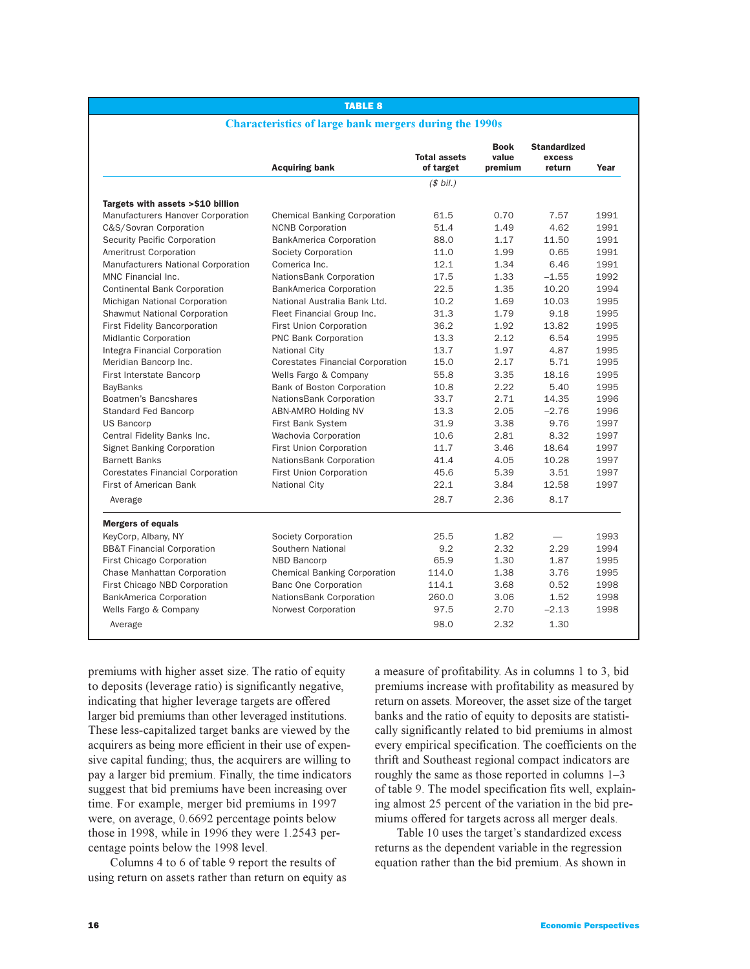## TABLE 8

### **Characteristics of large bank mergers during the 1990s**

|                                         | <b>Acquiring bank</b>                   | <b>Total assets</b><br>of target | <b>Book</b><br>value<br>premium | <b>Standardized</b><br>excess<br>return | Year |
|-----------------------------------------|-----------------------------------------|----------------------------------|---------------------------------|-----------------------------------------|------|
|                                         |                                         | (\$bil.)                         |                                 |                                         |      |
| Targets with assets >\$10 billion       |                                         |                                  |                                 |                                         |      |
| Manufacturers Hanover Corporation       | <b>Chemical Banking Corporation</b>     | 61.5                             | 0.70                            | 7.57                                    | 1991 |
| C&S/Sovran Corporation                  | <b>NCNB Corporation</b>                 | 51.4                             | 1.49                            | 4.62                                    | 1991 |
| Security Pacific Corporation            | <b>BankAmerica Corporation</b>          | 88.0                             | 1.17                            | 11.50                                   | 1991 |
| Ameritrust Corporation                  | Society Corporation                     | 11.0                             | 1.99                            | 0.65                                    | 1991 |
| Manufacturers National Corporation      | Comerica Inc.                           | 12.1                             | 1.34                            | 6.46                                    | 1991 |
| MNC Financial Inc.                      | NationsBank Corporation                 | 17.5                             | 1.33                            | $-1.55$                                 | 1992 |
| <b>Continental Bank Corporation</b>     | <b>BankAmerica Corporation</b>          | 22.5                             | 1.35                            | 10.20                                   | 1994 |
| Michigan National Corporation           | National Australia Bank Ltd.            | 10.2                             | 1.69                            | 10.03                                   | 1995 |
| Shawmut National Corporation            | Fleet Financial Group Inc.              | 31.3                             | 1.79                            | 9.18                                    | 1995 |
| <b>First Fidelity Bancorporation</b>    | First Union Corporation                 | 36.2                             | 1.92                            | 13.82                                   | 1995 |
| <b>Midlantic Corporation</b>            | <b>PNC Bank Corporation</b>             | 13.3                             | 2.12                            | 6.54                                    | 1995 |
| Integra Financial Corporation           | <b>National City</b>                    | 13.7                             | 1.97                            | 4.87                                    | 1995 |
| Meridian Bancorp Inc.                   | <b>Corestates Financial Corporation</b> | 15.0                             | 2.17                            | 5.71                                    | 1995 |
| First Interstate Bancorp                | Wells Fargo & Company                   | 55.8                             | 3.35                            | 18.16                                   | 1995 |
| <b>BayBanks</b>                         | Bank of Boston Corporation              | 10.8                             | 2.22                            | 5.40                                    | 1995 |
| Boatmen's Bancshares                    | NationsBank Corporation                 | 33.7                             | 2.71                            | 14.35                                   | 1996 |
| <b>Standard Fed Bancorp</b>             | ABN-AMRO Holding NV                     | 13.3                             | 2.05                            | $-2.76$                                 | 1996 |
| <b>US Bancorp</b>                       | First Bank System                       | 31.9                             | 3.38                            | 9.76                                    | 1997 |
| Central Fidelity Banks Inc.             | Wachovia Corporation                    | 10.6                             | 2.81                            | 8.32                                    | 1997 |
| <b>Signet Banking Corporation</b>       | First Union Corporation                 | 11.7                             | 3.46                            | 18.64                                   | 1997 |
| <b>Barnett Banks</b>                    | NationsBank Corporation                 | 41.4                             | 4.05                            | 10.28                                   | 1997 |
| <b>Corestates Financial Corporation</b> | First Union Corporation                 | 45.6                             | 5.39                            | 3.51                                    | 1997 |
| <b>First of American Bank</b>           | <b>National City</b>                    | 22.1                             | 3.84                            | 12.58                                   | 1997 |
| Average                                 |                                         | 28.7                             | 2.36                            | 8.17                                    |      |
| <b>Mergers of equals</b>                |                                         |                                  |                                 |                                         |      |
| KeyCorp, Albany, NY                     | Society Corporation                     | 25.5                             | 1.82                            |                                         | 1993 |
| <b>BB&amp;T Financial Corporation</b>   | Southern National                       | 9.2                              | 2.32                            | 2.29                                    | 1994 |
| First Chicago Corporation               | <b>NBD Bancorp</b>                      | 65.9                             | 1.30                            | 1.87                                    | 1995 |
| <b>Chase Manhattan Corporation</b>      | <b>Chemical Banking Corporation</b>     | 114.0                            | 1.38                            | 3.76                                    | 1995 |
| First Chicago NBD Corporation           | <b>Banc One Corporation</b>             | 114.1                            | 3.68                            | 0.52                                    | 1998 |
| <b>BankAmerica Corporation</b>          | NationsBank Corporation                 | 260.0                            | 3.06                            | 1.52                                    | 1998 |
| Wells Fargo & Company                   | Norwest Corporation                     | 97.5                             | 2.70                            | $-2.13$                                 | 1998 |
| Average                                 |                                         | 98.0                             | 2.32                            | 1.30                                    |      |

premiums with higher asset size. The ratio of equity to deposits (leverage ratio) is significantly negative, indicating that higher leverage targets are offered larger bid premiums than other leveraged institutions. These less-capitalized target banks are viewed by the acquirers as being more efficient in their use of expensive capital funding; thus, the acquirers are willing to pay a larger bid premium. Finally, the time indicators suggest that bid premiums have been increasing over time. For example, merger bid premiums in 1997 were, on average, 0.6692 percentage points below those in 1998, while in 1996 they were 1.2543 percentage points below the 1998 level.

Columns 4 to 6 of table 9 report the results of using return on assets rather than return on equity as a measure of profitability. As in columns 1 to 3, bid premiums increase with profitability as measured by return on assets. Moreover, the asset size of the target banks and the ratio of equity to deposits are statistically significantly related to bid premiums in almost every empirical specification. The coefficients on the thrift and Southeast regional compact indicators are roughly the same as those reported in columns  $1-3$ of table 9. The model specification fits well, explaining almost 25 percent of the variation in the bid premiums offered for targets across all merger deals.

Table 10 uses the target's standardized excess returns as the dependent variable in the regression equation rather than the bid premium. As shown in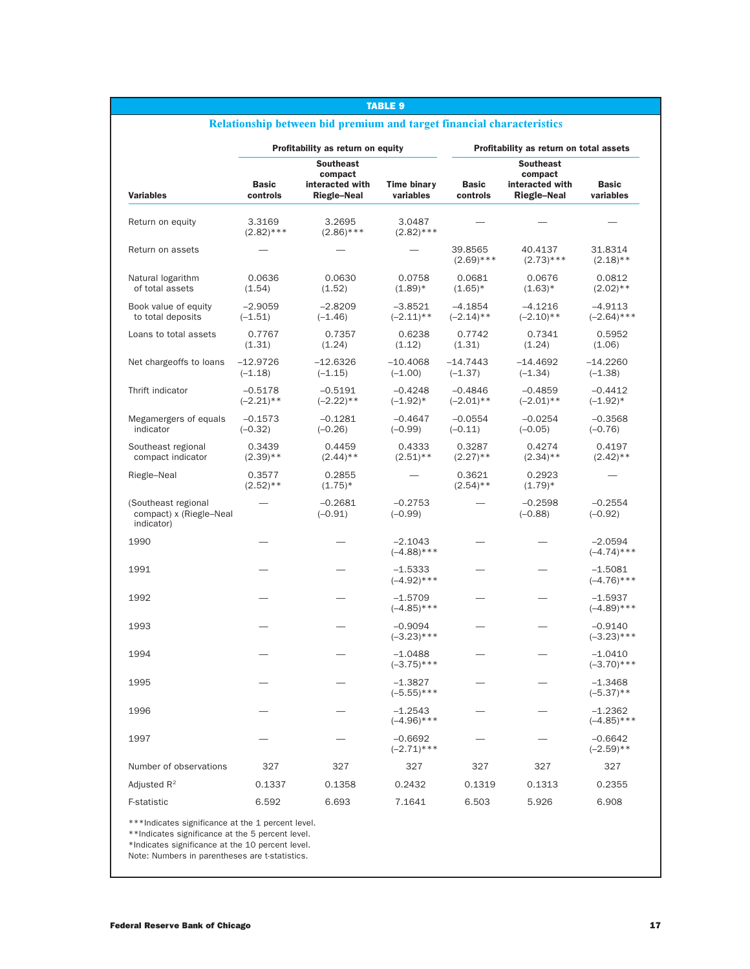|                                                              |                           | Profitability as return on equity                |                                 | Profitability as return on total assets |                                                  |                            |  |
|--------------------------------------------------------------|---------------------------|--------------------------------------------------|---------------------------------|-----------------------------------------|--------------------------------------------------|----------------------------|--|
| <b>Southeast</b>                                             |                           |                                                  |                                 |                                         |                                                  |                            |  |
| <b>Variables</b>                                             | <b>Basic</b><br>controls  | compact<br>interacted with<br><b>Riegle-Neal</b> | <b>Time binary</b><br>variables | <b>Basic</b><br>controls                | compact<br>interacted with<br><b>Riegle-Neal</b> | <b>Basic</b><br>variables  |  |
| Return on equity                                             | 3.3169<br>$(2.82)$ ***    | 3.2695<br>$(2.86)$ ***                           | 3.0487<br>$(2.82)$ ***          |                                         |                                                  |                            |  |
| Return on assets                                             |                           |                                                  |                                 | 39.8565<br>$(2.69)$ ***                 | 40.4137<br>$(2.73)$ ***                          | 31.8314<br>$(2.18)$ **     |  |
| Natural logarithm<br>of total assets                         | 0.0636<br>(1.54)          | 0.0630<br>(1.52)                                 | 0.0758<br>$(1.89)*$             | 0.0681<br>$(1.65)^*$                    | 0.0676<br>$(1.63)*$                              | 0.0812<br>$(2.02)$ **      |  |
| Book value of equity<br>to total deposits                    | $-2.9059$<br>$(-1.51)$    | $-2.8209$<br>$(-1.46)$                           | $-3.8521$<br>$(-2.11)$ **       | $-4.1854$<br>$(-2.14)$ **               | $-4.1216$<br>$(-2.10)**$                         | $-4.9113$<br>$(-2.64)$ *** |  |
| Loans to total assets                                        | 0.7767<br>(1.31)          | 0.7357<br>(1.24)                                 | 0.6238<br>(1.12)                | 0.7742<br>(1.31)                        | 0.7341<br>(1.24)                                 | 0.5952<br>(1.06)           |  |
| Net chargeoffs to loans                                      | $-12.9726$<br>$(-1.18)$   | $-12.6326$<br>$(-1.15)$                          | $-10.4068$<br>$(-1.00)$         | $-14.7443$<br>$(-1.37)$                 | $-14.4692$<br>$(-1.34)$                          | $-14.2260$<br>$(-1.38)$    |  |
| Thrift indicator                                             | $-0.5178$<br>$(-2.21)$ ** | $-0.5191$<br>$(-2.22)**$                         | $-0.4248$<br>$(-1.92)^*$        | $-0.4846$<br>$(-2.01)$ **               | $-0.4859$<br>$(-2.01)$ **                        | $-0.4412$<br>$(-1.92)^*$   |  |
| Megamergers of equals<br>indicator                           | $-0.1573$<br>$(-0.32)$    | $-0.1281$<br>$(-0.26)$                           | $-0.4647$<br>$(-0.99)$          | $-0.0554$<br>$(-0.11)$                  | $-0.0254$<br>$(-0.05)$                           | $-0.3568$<br>$(-0.76)$     |  |
| Southeast regional<br>compact indicator                      | 0.3439<br>$(2.39)$ **     | 0.4459<br>$(2.44)$ **                            | 0.4333<br>$(2.51)$ **           | 0.3287<br>$(2.27)$ **                   | 0.4274<br>$(2.34)$ **                            | 0.4197<br>$(2.42)$ **      |  |
| Riegle-Neal                                                  | 0.3577<br>$(2.52)$ **     | 0.2855<br>$(1.75)^*$                             |                                 | 0.3621<br>$(2.54)$ **                   | 0.2923<br>$(1.79)*$                              |                            |  |
| (Southeast regional<br>compact) x (Riegle-Neal<br>indicator) |                           | $-0.2681$<br>$(-0.91)$                           | $-0.2753$<br>$(-0.99)$          |                                         | $-0.2598$<br>$(-0.88)$                           | $-0.2554$<br>$(-0.92)$     |  |
| 1990                                                         |                           |                                                  | $-2.1043$<br>$(-4.88)$ ***      |                                         |                                                  | $-2.0594$<br>$(-4.74)$ *** |  |
| 1991                                                         |                           |                                                  | $-1.5333$<br>$(-4.92)$ ***      |                                         |                                                  | $-1.5081$<br>$(-4.76)$ *** |  |
| 1992                                                         |                           |                                                  | $-1.5709$<br>$(-4.85)$ ***      |                                         |                                                  | -1.5937<br>$(-4.89)$ ***   |  |
| 1993                                                         |                           |                                                  | $-0.9094$<br>$(-3.23)$ ***      |                                         |                                                  | $-0.9140$<br>$(-3.23)$ *** |  |
| 1994                                                         |                           |                                                  | $-1.0488$<br>$(-3.75)$ ***      |                                         |                                                  | $-1.0410$<br>$(-3.70)$ *** |  |
| 1995                                                         |                           |                                                  | -1.3827<br>$(-5.55)$ ***        |                                         |                                                  | $-1.3468$<br>$(-5.37)$ **  |  |
| 1996                                                         |                           |                                                  | $-1.2543$<br>$(-4.96)$ ***      |                                         |                                                  | $-1.2362$<br>$(-4.85)$ *** |  |
| 1997                                                         |                           |                                                  | $-0.6692$<br>$(-2.71)$ ***      |                                         |                                                  | -0.6642<br>$(-2.59)$ **    |  |
| Number of observations                                       | 327                       | 327                                              | 327                             | 327                                     | 327                                              | 327                        |  |
| Adjusted $R^2$                                               | 0.1337                    | 0.1358                                           | 0.2432                          | 0.1319                                  | 0.1313                                           | 0.2355                     |  |
| F-statistic                                                  | 6.592                     | 6.693                                            | 7.1641                          | 6.503                                   | 5.926                                            | 6.908                      |  |

TABLE 9

#### \*\*\*Indicates significance at the 1 percent level.

\*\*Indicates significance at the 5 percent level.

\*Indicates significance at the 10 percent level.

Note: Numbers in parentheses are t-statistics.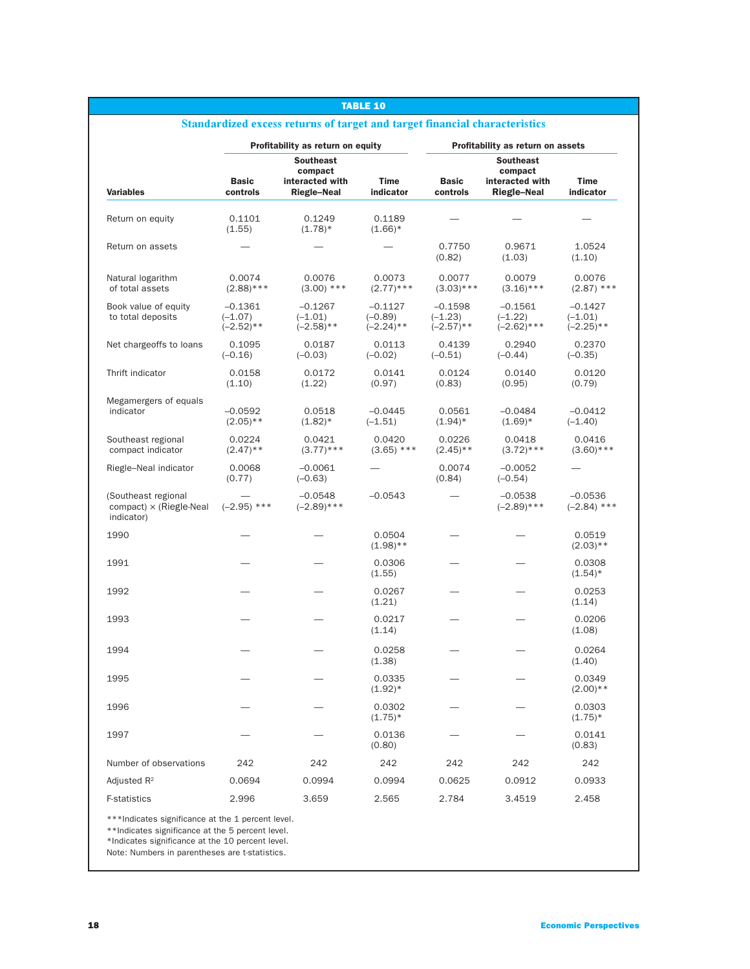| <b>TABLE 10</b>                                                                                       |                                        |                                                                      |                                        |                                        |                                                                      |                                        |
|-------------------------------------------------------------------------------------------------------|----------------------------------------|----------------------------------------------------------------------|----------------------------------------|----------------------------------------|----------------------------------------------------------------------|----------------------------------------|
| Standardized excess returns of target and target financial characteristics                            |                                        |                                                                      |                                        |                                        |                                                                      |                                        |
| Profitability as return on equity                                                                     |                                        |                                                                      |                                        | Profitability as return on assets      |                                                                      |                                        |
| <b>Variables</b>                                                                                      | <b>Basic</b><br>controls               | <b>Southeast</b><br>compact<br>interacted with<br><b>Riegle-Neal</b> | <b>Time</b><br>indicator               | <b>Basic</b><br>controls               | <b>Southeast</b><br>compact<br>interacted with<br><b>Riegle-Neal</b> | Time<br>indicator                      |
| Return on equity                                                                                      | 0.1101<br>(1.55)                       | 0.1249<br>$(1.78)$ *                                                 | 0.1189<br>$(1.66)*$                    |                                        |                                                                      |                                        |
| Return on assets                                                                                      |                                        |                                                                      |                                        | 0.7750<br>(0.82)                       | 0.9671<br>(1.03)                                                     | 1.0524<br>(1.10)                       |
| Natural logarithm<br>of total assets                                                                  | 0.0074<br>$(2.88)$ ***                 | 0.0076<br>$(3.00)$ ***                                               | 0.0073<br>$(2.77)$ ***                 | 0.0077<br>$(3.03)$ ***                 | 0.0079<br>$(3.16)$ ***                                               | 0.0076<br>$(2.87)$ ***                 |
| Book value of equity<br>to total deposits                                                             | $-0.1361$<br>$(-1.07)$<br>$(-2.52)$ ** | $-0.1267$<br>$(-1.01)$<br>$(-2.58)$ **                               | $-0.1127$<br>$(-0.89)$<br>$(-2.24)$ ** | $-0.1598$<br>$(-1.23)$<br>$(-2.57)$ ** | $-0.1561$<br>$(-1.22)$<br>$(-2.62)$ ***                              | $-0.1427$<br>$(-1.01)$<br>$(-2.25)$ ** |
| Net chargeoffs to loans                                                                               | 0.1095<br>$(-0.16)$                    | 0.0187<br>$(-0.03)$                                                  | 0.0113<br>$(-0.02)$                    | 0.4139<br>$(-0.51)$                    | 0.2940<br>$(-0.44)$                                                  | 0.2370<br>$(-0.35)$                    |
| Thrift indicator                                                                                      | 0.0158<br>(1.10)                       | 0.0172<br>(1.22)                                                     | 0.0141<br>(0.97)                       | 0.0124<br>(0.83)                       | 0.0140<br>(0.95)                                                     | 0.0120<br>(0.79)                       |
| Megamergers of equals<br>indicator                                                                    | $-0.0592$<br>$(2.05)**$                | 0.0518<br>$(1.82)^*$                                                 | $-0.0445$<br>$(-1.51)$                 | 0.0561<br>$(1.94)^*$                   | $-0.0484$<br>$(1.69)*$                                               | $-0.0412$<br>$(-1.40)$                 |
| Southeast regional<br>compact indicator                                                               | 0.0224<br>$(2.47)$ **                  | 0.0421<br>$(3.77)$ ***                                               | 0.0420<br>$(3.65)$ ***                 | 0.0226<br>$(2.45)$ **                  | 0.0418<br>$(3.72)$ ***                                               | 0.0416<br>$(3.60)$ ***                 |
| Riegle-Neal indicator                                                                                 | 0.0068<br>(0.77)                       | $-0.0061$<br>$(-0.63)$                                               |                                        | 0.0074<br>(0.84)                       | $-0.0052$<br>$(-0.54)$                                               |                                        |
| (Southeast regional<br>$compact$ $\times$ (Riegle-Neal<br>indicator)                                  | $(-2.95)$ ***                          | $-0.0548$<br>$(-2.89)$ ***                                           | $-0.0543$                              |                                        | $-0.0538$<br>$(-2.89)$ ***                                           | $-0.0536$<br>$(-2.84)$ ***             |
| 1990                                                                                                  |                                        |                                                                      | 0.0504<br>$(1.98)$ **                  |                                        |                                                                      | 0.0519<br>$(2.03)**$                   |
| 1991                                                                                                  |                                        |                                                                      | 0.0306<br>(1.55)                       |                                        |                                                                      | 0.0308<br>$(1.54)^*$                   |
| 1992                                                                                                  |                                        |                                                                      | 0.0267<br>(1.21)                       |                                        |                                                                      | 0.0253<br>(1.14)                       |
| 1993                                                                                                  |                                        |                                                                      | 0.0217<br>(1.14)                       |                                        |                                                                      | 0.0206<br>(1.08)                       |
| 1994                                                                                                  |                                        |                                                                      | 0.0258<br>(1.38)                       |                                        |                                                                      | 0.0264<br>(1.40)                       |
| 1995                                                                                                  |                                        |                                                                      | 0.0335<br>$(1.92)*$                    |                                        |                                                                      | 0.0349<br>$(2.00)**$                   |
| 1996                                                                                                  |                                        |                                                                      | 0.0302<br>$(1.75)^*$                   |                                        |                                                                      | 0.0303<br>$(1.75)^*$                   |
| 1997                                                                                                  |                                        |                                                                      | 0.0136<br>(0.80)                       |                                        |                                                                      | 0.0141<br>(0.83)                       |
| Number of observations                                                                                | 242                                    | 242                                                                  | 242                                    | 242                                    | 242                                                                  | 242                                    |
| Adjusted $R^2$                                                                                        | 0.0694                                 | 0.0994                                                               | 0.0994                                 | 0.0625                                 | 0.0912                                                               | 0.0933                                 |
| F-statistics                                                                                          | 2.996                                  | 3.659                                                                | 2.565                                  | 2.784                                  | 3.4519                                                               | 2.458                                  |
| ***Indicates significance at the 1 percent level.<br>**Indicates significance at the 5 percent level. |                                        |                                                                      |                                        |                                        |                                                                      |                                        |

### \*Indicates significance at the 10 percent level.

Note: Numbers in parentheses are t-statistics.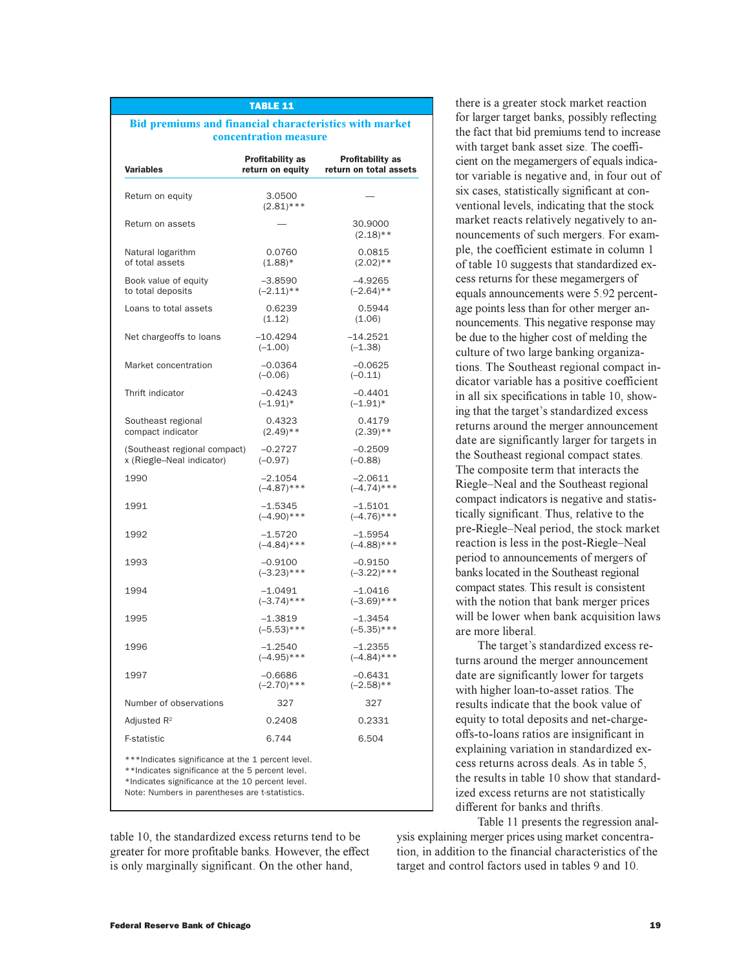# **Bid premiums and financial characteristics with market**

TABLE 11

**concentration measure**

| <b>Variables</b>                                          | Profitability as<br>return on equity | <b>Profitability as</b><br>return on total assets |
|-----------------------------------------------------------|--------------------------------------|---------------------------------------------------|
| Return on equity                                          | 3.0500<br>$(2.81)$ ***               |                                                   |
| Return on assets                                          |                                      | 30.9000<br>$(2.18)$ **                            |
| Natural logarithm<br>of total assets                      | 0.0760<br>$(1.88)$ *                 | 0.0815<br>$(2.02)$ **                             |
| Book value of equity<br>to total deposits                 | $-3.8590$<br>$(-2.11)$ **            | $-4.9265$<br>$(-2.64)$ **                         |
| Loans to total assets                                     | 0.6239<br>(1.12)                     | 0.5944<br>(1.06)                                  |
| Net chargeoffs to loans                                   | $-10.4294$<br>$(-1.00)$              | $-14.2521$<br>$(-1.38)$                           |
| Market concentration                                      | $-0.0364$<br>$(-0.06)$               | $-0.0625$<br>$(-0.11)$                            |
| Thrift indicator                                          | $-0.4243$<br>$(-1.91)^*$             | $-0.4401$<br>$(-1.91)^*$                          |
| Southeast regional<br>compact indicator                   | 0.4323<br>$(2.49)$ **                | 0.4179<br>$(2.39)$ **                             |
| (Southeast regional compact)<br>x (Riegle-Neal indicator) | $-0.2727$<br>$(-0.97)$               | $-0.2509$<br>$(-0.88)$                            |
| 1990                                                      | $-2.1054$<br>$(-4.87)$ ***           | $-2.0611$<br>$(-4.74)$ ***                        |
| 1991                                                      | $-1.5345$<br>$(-4.90)$ ***           | $-1.5101$<br>$(-4.76)$ ***                        |
| 1992                                                      | $-1.5720$<br>$(-4.84)$ ***           | $-1.5954$<br>$(-4.88)$ ***                        |
| 1993                                                      | $-0.9100$<br>$(-3.23)$ ***           | $-0.9150$<br>$(-3.22)$ ***                        |
| 1994                                                      | $-1.0491$<br>$(-3.74)$ ***           | $-1.0416$<br>$(-3.69)$ ***                        |
| 1995                                                      | $-1.3819$<br>$(-5.53)$ ***           | $-1.3454$<br>$(-5.35)$ ***                        |
| 1996                                                      | $-1.2540$<br>$(-4.95)$ ***           | $-1.2355$<br>$(-4.84)$ ***                        |
| 1997                                                      | $-0.6686$<br>$(-2.70)$ ***           | $-0.6431$<br>$(-2.58)$ **                         |
| Number of observations                                    | 327                                  | 327                                               |
|                                                           | 0.2408                               | 0.2331                                            |
| Adjusted $R^2$                                            |                                      |                                                   |

table 10, the standardized excess returns tend to be greater for more profitable banks. However, the effect is only marginally significant. On the other hand,

there is a greater stock market reaction for larger target banks, possibly reflecting the fact that bid premiums tend to increase with target bank asset size. The coefficient on the megamergers of equals indicator variable is negative and, in four out of six cases, statistically significant at conventional levels, indicating that the stock market reacts relatively negatively to announcements of such mergers. For example, the coefficient estimate in column 1 of table 10 suggests that standardized excess returns for these megamergers of equals announcements were 5.92 percentage points less than for other merger announcements. This negative response may be due to the higher cost of melding the culture of two large banking organizations. The Southeast regional compact indicator variable has a positive coefficient in all six specifications in table 10, showing that the target's standardized excess returns around the merger announcement date are significantly larger for targets in the Southeast regional compact states. The composite term that interacts the Riegle-Neal and the Southeast regional compact indicators is negative and statistically significant. Thus, relative to the pre-Riegle-Neal period, the stock market reaction is less in the post-Riegle-Neal period to announcements of mergers of banks located in the Southeast regional compact states. This result is consistent with the notion that bank merger prices will be lower when bank acquisition laws are more liberal.

The target's standardized excess returns around the merger announcement date are significantly lower for targets with higher loan-to-asset ratios. The results indicate that the book value of equity to total deposits and net-chargeoffs-to-loans ratios are insignificant in explaining variation in standardized excess returns across deals. As in table 5, the results in table 10 show that standardized excess returns are not statistically different for banks and thrifts.

Table 11 presents the regression analysis explaining merger prices using market concentration, in addition to the financial characteristics of the target and control factors used in tables 9 and 10.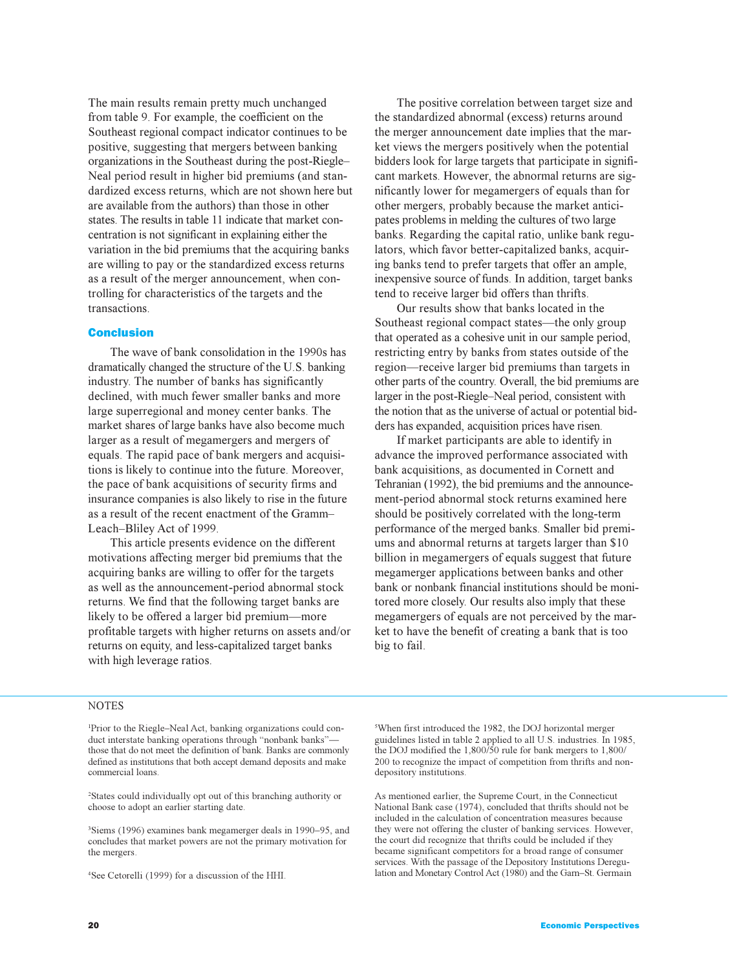The main results remain pretty much unchanged from table 9. For example, the coefficient on the Southeast regional compact indicator continues to be positive, suggesting that mergers between banking organizations in the Southeast during the post-Riegle Neal period result in higher bid premiums (and standardized excess returns, which are not shown here but are available from the authors) than those in other states. The results in table 11 indicate that market concentration is not significant in explaining either the variation in the bid premiums that the acquiring banks are willing to pay or the standardized excess returns as a result of the merger announcement, when controlling for characteristics of the targets and the transactions.

### Conclusion

The wave of bank consolidation in the 1990s has dramatically changed the structure of the U.S. banking industry. The number of banks has significantly declined, with much fewer smaller banks and more large superregional and money center banks. The market shares of large banks have also become much larger as a result of megamergers and mergers of equals. The rapid pace of bank mergers and acquisitions is likely to continue into the future. Moreover, the pace of bank acquisitions of security firms and insurance companies is also likely to rise in the future as a result of the recent enactment of the Gramm Leach-Bliley Act of 1999.

This article presents evidence on the different motivations affecting merger bid premiums that the acquiring banks are willing to offer for the targets as well as the announcement-period abnormal stock returns. We find that the following target banks are likely to be offered a larger bid premium—more profitable targets with higher returns on assets and/or returns on equity, and less-capitalized target banks with high leverage ratios.

The positive correlation between target size and the standardized abnormal (excess) returns around the merger announcement date implies that the market views the mergers positively when the potential bidders look for large targets that participate in significant markets. However, the abnormal returns are significantly lower for megamergers of equals than for other mergers, probably because the market anticipates problems in melding the cultures of two large banks. Regarding the capital ratio, unlike bank regulators, which favor better-capitalized banks, acquiring banks tend to prefer targets that offer an ample, inexpensive source of funds. In addition, target banks tend to receive larger bid offers than thrifts.

Our results show that banks located in the Southeast regional compact states—the only group that operated as a cohesive unit in our sample period, restricting entry by banks from states outside of the region—receive larger bid premiums than targets in other parts of the country. Overall, the bid premiums are larger in the post-Riegle-Neal period, consistent with the notion that as the universe of actual or potential bidders has expanded, acquisition prices have risen.

If market participants are able to identify in advance the improved performance associated with bank acquisitions, as documented in Cornett and Tehranian (1992), the bid premiums and the announcement-period abnormal stock returns examined here should be positively correlated with the long-term performance of the merged banks. Smaller bid premiums and abnormal returns at targets larger than \$10 billion in megamergers of equals suggest that future megamerger applications between banks and other bank or nonbank financial institutions should be monitored more closely. Our results also imply that these megamergers of equals are not perceived by the market to have the benefit of creating a bank that is too big to fail.

## **NOTES**

<sup>1</sup>Prior to the Riegle-Neal Act, banking organizations could conduct interstate banking operations through "nonbank banks"those that do not meet the definition of bank. Banks are commonly defined as institutions that both accept demand deposits and make commercial loans.

2 States could individually opt out of this branching authority or choose to adopt an earlier starting date.

<sup>3</sup>Siems (1996) examines bank megamerger deals in 1990-95, and concludes that market powers are not the primary motivation for the mergers.

4 See Cetorelli (1999) for a discussion of the HHI.

5 When first introduced the 1982, the DOJ horizontal merger guidelines listed in table 2 applied to all U.S. industries. In 1985, the DOJ modified the 1,800/50 rule for bank mergers to 1,800/ 200 to recognize the impact of competition from thrifts and nondepository institutions.

As mentioned earlier, the Supreme Court, in the Connecticut National Bank case (1974), concluded that thrifts should not be included in the calculation of concentration measures because they were not offering the cluster of banking services. However, the court did recognize that thrifts could be included if they became significant competitors for a broad range of consumer services. With the passage of the Depository Institutions Deregulation and Monetary Control Act (1980) and the Garn-St. Germain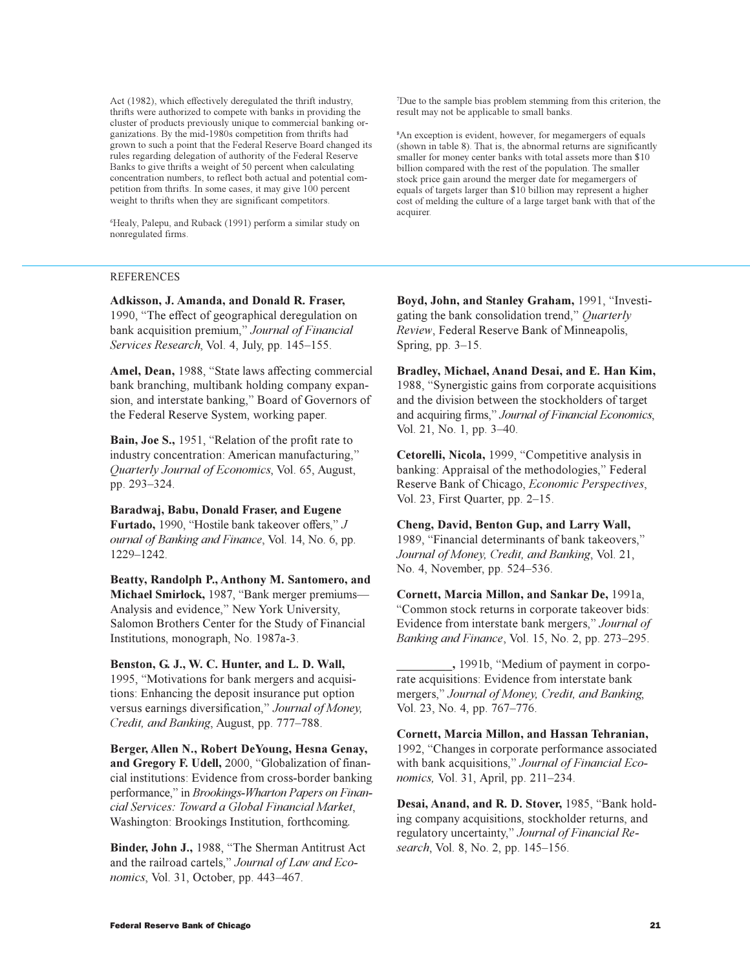Act (1982), which effectively deregulated the thrift industry, thrifts were authorized to compete with banks in providing the cluster of products previously unique to commercial banking organizations. By the mid-1980s competition from thrifts had grown to such a point that the Federal Reserve Board changed its rules regarding delegation of authority of the Federal Reserve Banks to give thrifts a weight of 50 percent when calculating concentration numbers, to reflect both actual and potential competition from thrifts. In some cases, it may give 100 percent weight to thrifts when they are significant competitors.

6 Healy, Palepu, and Ruback (1991) perform a similar study on nonregulated firms.

### REFERENCES

**Adkisson, J. Amanda, and Donald R. Fraser,** 1990, "The effect of geographical deregulation on bank acquisition premium," Journal of Financial *Services Research*, Vol. 4, July, pp. 145–155.

Amel, Dean, 1988, "State laws affecting commercial bank branching, multibank holding company expansion, and interstate banking," Board of Governors of the Federal Reserve System, working paper.

Bain, Joe S., 1951, "Relation of the profit rate to industry concentration: American manufacturing, *Quarterly Journal of Economics*, Vol. 65, August, pp. 293-324.

**Baradwaj, Babu, Donald Fraser, and Eugene** Furtado, 1990, "Hostile bank takeover offers," *J ournal of Banking and Finance*, Vol. 14, No. 6, pp. 12291242.

**Beatty, Randolph P., Anthony M. Santomero, and** Michael Smirlock, 1987, "Bank merger premiums-Analysis and evidence," New York University, Salomon Brothers Center for the Study of Financial Institutions, monograph, No. 1987a-3.

### **Benston, G. J., W. C. Hunter, and L. D. Wall,**

1995, Motivations for bank mergers and acquisitions: Enhancing the deposit insurance put option versus earnings diversification," Journal of Money, *Credit, and Banking, August, pp. 777–788.* 

**Berger, Allen N., Robert DeYoung, Hesna Genay,** and Gregory F. Udell, 2000, "Globalization of financial institutions: Evidence from cross-border banking performance," in *Brookings-Wharton Papers on Financial Services: Toward a Global Financial Market*, Washington: Brookings Institution, forthcoming*.*

Binder, John J., 1988, "The Sherman Antitrust Act and the railroad cartels, *Journal of Law and Economics*, Vol. 31, October, pp. 443–467.

7 Due to the sample bias problem stemming from this criterion, the result may not be applicable to small banks.

8 An exception is evident, however, for megamergers of equals (shown in table 8). That is, the abnormal returns are significantly smaller for money center banks with total assets more than \$10 billion compared with the rest of the population. The smaller stock price gain around the merger date for megamergers of equals of targets larger than \$10 billion may represent a higher cost of melding the culture of a large target bank with that of the acquirer.

Boyd, John, and Stanley Graham, 1991, "Investigating the bank consolidation trend," *Quarterly Review*, Federal Reserve Bank of Minneapolis, Spring, pp.  $3-15$ .

**Bradley, Michael, Anand Desai, and E. Han Kim,** 1988, "Synergistic gains from corporate acquisitions" and the division between the stockholders of target and acquiring firms," Journal of Financial Economics, Vol. 21, No. 1, pp. 3–40.

**Cetorelli, Nicola, 1999, "Competitive analysis in** banking: Appraisal of the methodologies," Federal Reserve Bank of Chicago, *Economic Perspectives*, Vol. 23, First Quarter, pp. 2-15.

**Cheng, David, Benton Gup, and Larry Wall,** 1989, "Financial determinants of bank takeovers," *Journal of Money, Credit, and Banking*, Vol. 21, No. 4, November, pp. 524–536.

**Cornett, Marcia Millon, and Sankar De,** 1991a, Common stock returns in corporate takeover bids: Evidence from interstate bank mergers," Journal of *Banking and Finance*, Vol. 15, No. 2, pp. 273-295.

**\_\_\_\_\_\_\_\_\_,** 1991b, Medium of payment in corporate acquisitions: Evidence from interstate bank mergers," Journal of Money, Credit, and Banking, Vol. 23, No. 4, pp. 767–776.

**Cornett, Marcia Millon, and Hassan Tehranian,** 1992, "Changes in corporate performance associated with bank acquisitions, *Journal of Financial Economics*, Vol. 31, April, pp. 211–234.

Desai, Anand, and R. D. Stover, 1985, "Bank holding company acquisitions, stockholder returns, and regulatory uncertainty," Journal of Financial Re*search*, Vol. 8, No. 2, pp. 145-156.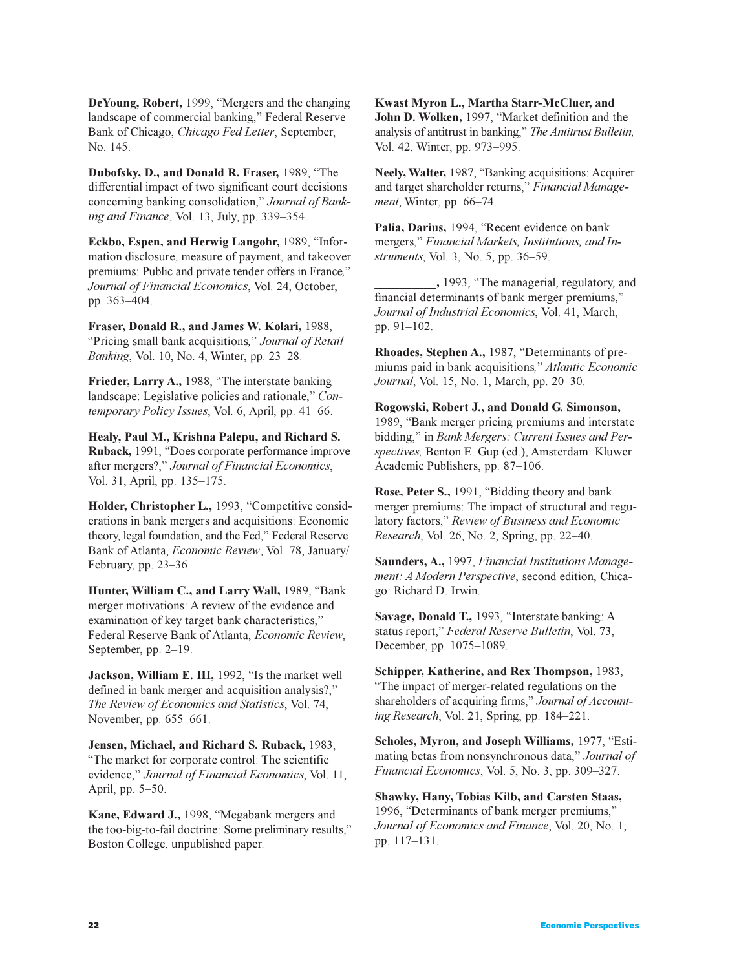**DeYoung, Robert,** 1999, "Mergers and the changing landscape of commercial banking," Federal Reserve Bank of Chicago, *Chicago Fed Letter*, September, No. 145.

**Dubofsky, D., and Donald R. Fraser, 1989, "The** differential impact of two significant court decisions concerning banking consolidation," Journal of Bank*ing and Finance*, Vol. 13, July, pp. 339–354.

**Eckbo, Espen, and Herwig Langohr, 1989, "Infor**mation disclosure, measure of payment, and takeover premiums: Public and private tender offers in France*, Journal of Financial Economics*, Vol. 24, October, pp. 363-404.

**Fraser, Donald R., and James W. Kolari,** 1988, Pricing small bank acquisitions*, Journal of Retail Banking*, Vol. 10, No. 4, Winter, pp. 23-28.

**Frieder, Larry A.,** 1988, "The interstate banking landscape: Legislative policies and rationale," Con*temporary Policy Issues*, Vol. 6, April, pp. 41-66.

**Healy, Paul M., Krishna Palepu, and Richard S.** Ruback, 1991, "Does corporate performance improve after mergers?," Journal of Financial Economics, Vol. 31, April, pp. 135–175.

Holder, Christopher L., 1993, "Competitive considerations in bank mergers and acquisitions: Economic theory, legal foundation, and the Fed," Federal Reserve Bank of Atlanta, *Economic Review*, Vol. 78, January/ February, pp.  $23-36$ .

**Hunter, William C., and Larry Wall, 1989, "Bank** merger motivations: A review of the evidence and examination of key target bank characteristics, Federal Reserve Bank of Atlanta, *Economic Review*, September, pp.  $2-19$ .

**Jackson, William E. III, 1992, "Is the market well** defined in bank merger and acquisition analysis?, *The Review of Economics and Statistics*, Vol. 74, November, pp. 655-661.

**Jensen, Michael, and Richard S. Ruback,** 1983, The market for corporate control: The scientific evidence," Journal of Financial Economics, Vol. 11, April, pp.  $5-50$ .

Kane, Edward J., 1998, "Megabank mergers and the too-big-to-fail doctrine: Some preliminary results, Boston College, unpublished paper.

**Kwast Myron L., Martha Starr-McCluer, and** John D. Wolken, 1997, "Market definition and the analysis of antitrust in banking, *The Antitrust Bulletin,* Vol. 42, Winter, pp. 973–995.

Neely, Walter, 1987, "Banking acquisitions: Acquirer and target shareholder returns," Financial Manage*ment*, Winter, pp. 66-74.

Palia, Darius, 1994, "Recent evidence on bank mergers," Financial Markets, Institutions, and In*struments*, Vol. 3, No. 5, pp. 36–59.

**\_\_\_\_\_\_\_\_\_\_,** 1993, The managerial, regulatory, and financial determinants of bank merger premiums, *Journal of Industrial Economics*, Vol. 41, March, pp.  $91-102$ .

**Rhoades, Stephen A., 1987, "Determinants of pre**miums paid in bank acquisitions*, Atlantic Economic Journal*, Vol. 15, No. 1, March, pp. 20–30.

**Rogowski, Robert J., and Donald G. Simonson,** 1989, "Bank merger pricing premiums and interstate bidding," in *Bank Mergers: Current Issues and Perspectives,* Benton E. Gup (ed.), Amsterdam: Kluwer Academic Publishers, pp. 87-106.

Rose, Peter S., 1991, "Bidding theory and bank merger premiums: The impact of structural and regulatory factors," Review of Business and Economic *Research*, *Vol.* 26, *No.* 2, *Spring, pp.* 22–40.

**Saunders, A.,** 1997, *Financial Institutions Management: A Modern Perspective*, second edition, Chicago: Richard D. Irwin.

**Savage, Donald T., 1993, "Interstate banking: A.** status report," Federal Reserve Bulletin, Vol. 73, December, pp. 1075-1089.

**Schipper, Katherine, and Rex Thompson,** 1983, The impact of merger-related regulations on the shareholders of acquiring firms," Journal of Account*ing Research*, Vol. 21, Spring, pp. 184–221.

Scholes, Myron, and Joseph Williams, 1977, "Estimating betas from nonsynchronous data," *Journal of Financial Economics*, Vol. 5, No. 3, pp. 309-327.

**Shawky, Hany, Tobias Kilb, and Carsten Staas,** 1996, "Determinants of bank merger premiums," *Journal of Economics and Finance*, Vol. 20, No. 1, pp. 117-131.